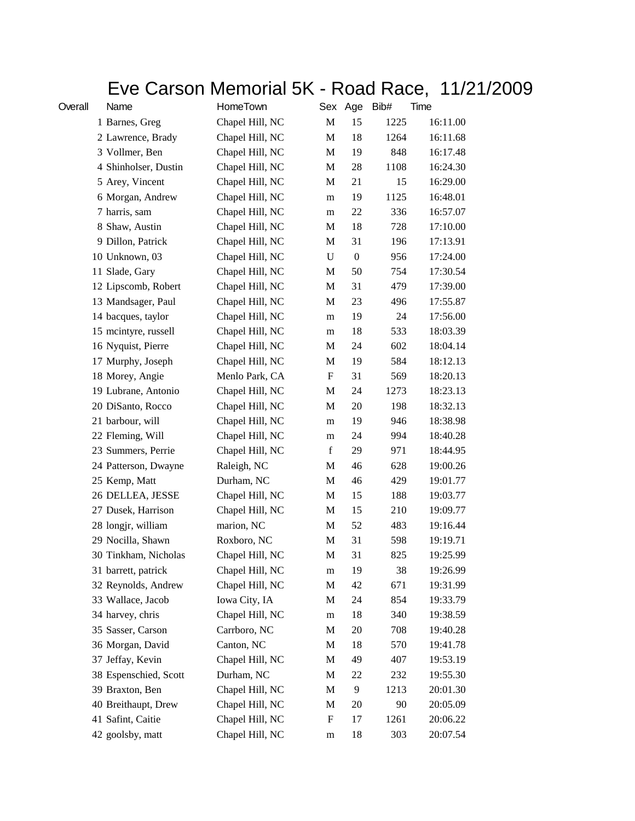## Eve Carson Memorial 5K - Road Race, 11/21/2009

| Overall | Name                  | HomeTown        |   | Sex Age          | Bib# | Time     |
|---------|-----------------------|-----------------|---|------------------|------|----------|
|         | 1 Barnes, Greg        | Chapel Hill, NC | M | 15               | 1225 | 16:11.00 |
|         | 2 Lawrence, Brady     | Chapel Hill, NC | M | 18               | 1264 | 16:11.68 |
|         | 3 Vollmer, Ben        | Chapel Hill, NC | М | 19               | 848  | 16:17.48 |
|         | 4 Shinholser, Dustin  | Chapel Hill, NC | М | 28               | 1108 | 16:24.30 |
|         | 5 Arey, Vincent       | Chapel Hill, NC | М | 21               | 15   | 16:29.00 |
|         | 6 Morgan, Andrew      | Chapel Hill, NC | m | 19               | 1125 | 16:48.01 |
|         | 7 harris, sam         | Chapel Hill, NC | m | 22               | 336  | 16:57.07 |
|         | 8 Shaw, Austin        | Chapel Hill, NC | М | 18               | 728  | 17:10.00 |
|         | 9 Dillon, Patrick     | Chapel Hill, NC | M | 31               | 196  | 17:13.91 |
|         | 10 Unknown, 03        | Chapel Hill, NC | U | $\boldsymbol{0}$ | 956  | 17:24.00 |
|         | 11 Slade, Gary        | Chapel Hill, NC | М | 50               | 754  | 17:30.54 |
|         | 12 Lipscomb, Robert   | Chapel Hill, NC | M | 31               | 479  | 17:39.00 |
|         | 13 Mandsager, Paul    | Chapel Hill, NC | M | 23               | 496  | 17:55.87 |
|         | 14 bacques, taylor    | Chapel Hill, NC | m | 19               | 24   | 17:56.00 |
|         | 15 mcintyre, russell  | Chapel Hill, NC | m | 18               | 533  | 18:03.39 |
|         | 16 Nyquist, Pierre    | Chapel Hill, NC | M | 24               | 602  | 18:04.14 |
|         | 17 Murphy, Joseph     | Chapel Hill, NC | M | 19               | 584  | 18:12.13 |
|         | 18 Morey, Angie       | Menlo Park, CA  | F | 31               | 569  | 18:20.13 |
|         | 19 Lubrane, Antonio   | Chapel Hill, NC | M | 24               | 1273 | 18:23.13 |
|         | 20 DiSanto, Rocco     | Chapel Hill, NC | M | 20               | 198  | 18:32.13 |
|         | 21 barbour, will      | Chapel Hill, NC | m | 19               | 946  | 18:38.98 |
|         | 22 Fleming, Will      | Chapel Hill, NC | m | 24               | 994  | 18:40.28 |
|         | 23 Summers, Perrie    | Chapel Hill, NC | f | 29               | 971  | 18:44.95 |
|         | 24 Patterson, Dwayne  | Raleigh, NC     | М | 46               | 628  | 19:00.26 |
|         | 25 Kemp, Matt         | Durham, NC      | М | 46               | 429  | 19:01.77 |
|         | 26 DELLEA, JESSE      | Chapel Hill, NC | M | 15               | 188  | 19:03.77 |
|         | 27 Dusek, Harrison    | Chapel Hill, NC | M | 15               | 210  | 19:09.77 |
|         | 28 longjr, william    | marion, NC      | M | 52               | 483  | 19:16.44 |
|         | 29 Nocilla, Shawn     | Roxboro, NC     | M | 31               | 598  | 19:19.71 |
|         | 30 Tinkham, Nicholas  | Chapel Hill, NC | M | 31               | 825  | 19:25.99 |
|         | 31 barrett, patrick   | Chapel Hill, NC | m | 19               | 38   | 19:26.99 |
|         | 32 Reynolds, Andrew   | Chapel Hill, NC | M | 42               | 671  | 19:31.99 |
|         | 33 Wallace, Jacob     | Iowa City, IA   | M | 24               | 854  | 19:33.79 |
|         | 34 harvey, chris      | Chapel Hill, NC | m | 18               | 340  | 19:38.59 |
|         | 35 Sasser, Carson     | Carrboro, NC    | M | $20\,$           | 708  | 19:40.28 |
|         | 36 Morgan, David      | Canton, NC      | M | 18               | 570  | 19:41.78 |
|         | 37 Jeffay, Kevin      | Chapel Hill, NC | M | 49               | 407  | 19:53.19 |
|         | 38 Espenschied, Scott | Durham, NC      | M | 22               | 232  | 19:55.30 |
|         | 39 Braxton, Ben       | Chapel Hill, NC | M | 9                | 1213 | 20:01.30 |
|         | 40 Breithaupt, Drew   | Chapel Hill, NC | M | 20               | 90   | 20:05.09 |
|         | 41 Safint, Caitie     | Chapel Hill, NC | F | 17               | 1261 | 20:06.22 |
|         | 42 goolsby, matt      | Chapel Hill, NC | m | 18               | 303  | 20:07.54 |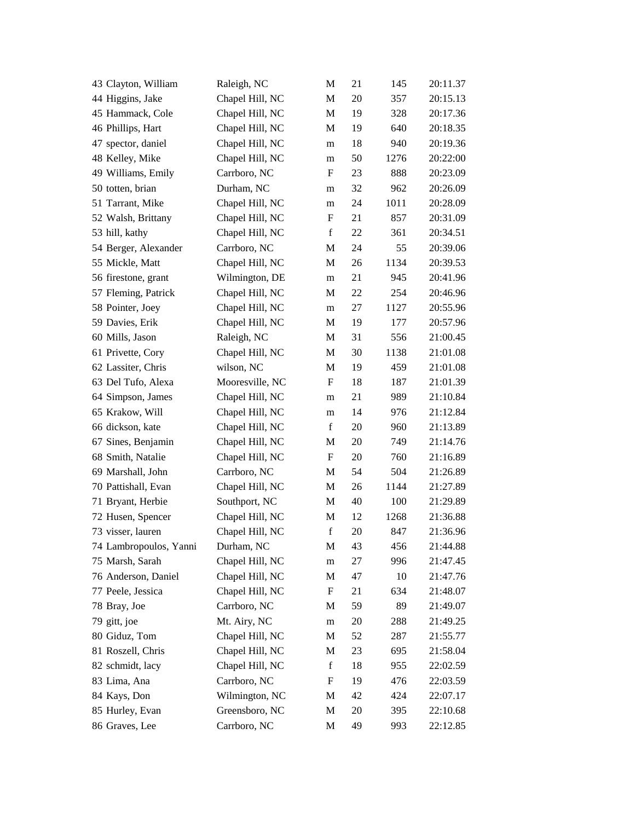| Raleigh, NC     | M           | 21 | 145  | 20:11.37 |
|-----------------|-------------|----|------|----------|
| Chapel Hill, NC | M           | 20 | 357  | 20:15.13 |
| Chapel Hill, NC | M           | 19 | 328  | 20:17.36 |
| Chapel Hill, NC | M           | 19 | 640  | 20:18.35 |
| Chapel Hill, NC | m           | 18 | 940  | 20:19.36 |
| Chapel Hill, NC | m           | 50 | 1276 | 20:22:00 |
| Carrboro, NC    | F           | 23 | 888  | 20:23.09 |
| Durham, NC      | m           | 32 | 962  | 20:26.09 |
| Chapel Hill, NC | m           | 24 | 1011 | 20:28.09 |
| Chapel Hill, NC | F           | 21 | 857  | 20:31.09 |
| Chapel Hill, NC | f           | 22 | 361  | 20:34.51 |
| Carrboro, NC    | М           | 24 | 55   | 20:39.06 |
| Chapel Hill, NC | M           | 26 | 1134 | 20:39.53 |
| Wilmington, DE  | m           | 21 | 945  | 20:41.96 |
| Chapel Hill, NC | M           | 22 | 254  | 20:46.96 |
| Chapel Hill, NC | m           | 27 | 1127 | 20:55.96 |
| Chapel Hill, NC | M           | 19 | 177  | 20:57.96 |
| Raleigh, NC     | M           | 31 | 556  | 21:00.45 |
| Chapel Hill, NC | M           | 30 | 1138 | 21:01.08 |
| wilson, NC      | M           | 19 | 459  | 21:01.08 |
| Mooresville, NC | F           | 18 | 187  | 21:01.39 |
| Chapel Hill, NC | m           | 21 | 989  | 21:10.84 |
| Chapel Hill, NC | m           | 14 | 976  | 21:12.84 |
| Chapel Hill, NC | $\mathbf f$ | 20 | 960  | 21:13.89 |
| Chapel Hill, NC | M           | 20 | 749  | 21:14.76 |
| Chapel Hill, NC | F           | 20 | 760  | 21:16.89 |
| Carrboro, NC    | M           | 54 | 504  | 21:26.89 |
| Chapel Hill, NC | M           | 26 | 1144 | 21:27.89 |
| Southport, NC   | M           | 40 | 100  | 21:29.89 |
| Chapel Hill, NC | M           | 12 | 1268 | 21:36.88 |
| Chapel Hill, NC | $\mathbf f$ | 20 | 847  | 21:36.96 |
| Durham, NC      | M           | 43 | 456  | 21:44.88 |
| Chapel Hill, NC | m           | 27 | 996  | 21:47.45 |
| Chapel Hill, NC | M           | 47 | 10   | 21:47.76 |
| Chapel Hill, NC | F           | 21 | 634  | 21:48.07 |
| Carrboro, NC    | M           | 59 | 89   | 21:49.07 |
| Mt. Airy, NC    | ${\rm m}$   | 20 | 288  | 21:49.25 |
| Chapel Hill, NC | M           | 52 | 287  | 21:55.77 |
| Chapel Hill, NC | M           | 23 | 695  | 21:58.04 |
| Chapel Hill, NC | $f_{\rm}$   | 18 | 955  | 22:02.59 |
| Carrboro, NC    | F           | 19 | 476  | 22:03.59 |
| Wilmington, NC  | M           | 42 | 424  | 22:07.17 |
| Greensboro, NC  | M           | 20 | 395  | 22:10.68 |
| Carrboro, NC    | M           | 49 | 993  | 22:12.85 |
|                 |             |    |      |          |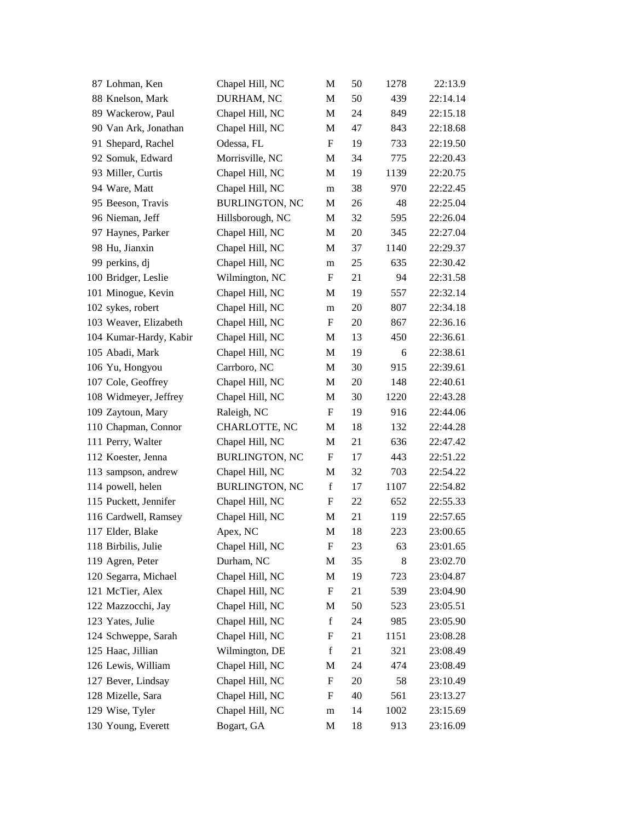| 87 Lohman, Ken         | Chapel Hill, NC       | М                         | 50 | 1278  | 22:13.9  |
|------------------------|-----------------------|---------------------------|----|-------|----------|
| 88 Knelson, Mark       | DURHAM, NC            | M                         | 50 | 439   | 22:14.14 |
| 89 Wackerow, Paul      | Chapel Hill, NC       | M                         | 24 | 849   | 22:15.18 |
| 90 Van Ark, Jonathan   | Chapel Hill, NC       | M                         | 47 | 843   | 22:18.68 |
| 91 Shepard, Rachel     | Odessa, FL            | F                         | 19 | 733   | 22:19.50 |
| 92 Somuk, Edward       | Morrisville, NC       | M                         | 34 | 775   | 22:20.43 |
| 93 Miller, Curtis      | Chapel Hill, NC       | М                         | 19 | 1139  | 22:20.75 |
| 94 Ware, Matt          | Chapel Hill, NC       | m                         | 38 | 970   | 22:22.45 |
| 95 Beeson, Travis      | <b>BURLINGTON, NC</b> | M                         | 26 | 48    | 22:25.04 |
| 96 Nieman, Jeff        | Hillsborough, NC      | M                         | 32 | 595   | 22:26.04 |
| 97 Haynes, Parker      | Chapel Hill, NC       | M                         | 20 | 345   | 22:27.04 |
| 98 Hu, Jianxin         | Chapel Hill, NC       | M                         | 37 | 1140  | 22:29.37 |
| 99 perkins, dj         | Chapel Hill, NC       | m                         | 25 | 635   | 22:30.42 |
| 100 Bridger, Leslie    | Wilmington, NC        | F                         | 21 | 94    | 22:31.58 |
| 101 Minogue, Kevin     | Chapel Hill, NC       | M                         | 19 | 557   | 22:32.14 |
| 102 sykes, robert      | Chapel Hill, NC       | m                         | 20 | 807   | 22:34.18 |
| 103 Weaver, Elizabeth  | Chapel Hill, NC       | F                         | 20 | 867   | 22:36.16 |
| 104 Kumar-Hardy, Kabir | Chapel Hill, NC       | M                         | 13 | 450   | 22:36.61 |
| 105 Abadi, Mark        | Chapel Hill, NC       | M                         | 19 | 6     | 22:38.61 |
| 106 Yu, Hongyou        | Carrboro, NC          | M                         | 30 | 915   | 22:39.61 |
| 107 Cole, Geoffrey     | Chapel Hill, NC       | M                         | 20 | 148   | 22:40.61 |
| 108 Widmeyer, Jeffrey  | Chapel Hill, NC       | М                         | 30 | 1220  | 22:43.28 |
| 109 Zaytoun, Mary      | Raleigh, NC           | $\boldsymbol{\mathrm{F}}$ | 19 | 916   | 22:44.06 |
| 110 Chapman, Connor    | CHARLOTTE, NC         | M                         | 18 | 132   | 22:44.28 |
| 111 Perry, Walter      | Chapel Hill, NC       | M                         | 21 | 636   | 22:47.42 |
| 112 Koester, Jenna     | <b>BURLINGTON, NC</b> | F                         | 17 | 443   | 22:51.22 |
| 113 sampson, andrew    | Chapel Hill, NC       | М                         | 32 | 703   | 22:54.22 |
| 114 powell, helen      | <b>BURLINGTON, NC</b> | $\mathbf f$               | 17 | 1107  | 22:54.82 |
| 115 Puckett, Jennifer  | Chapel Hill, NC       | F                         | 22 | 652   | 22:55.33 |
| 116 Cardwell, Ramsey   | Chapel Hill, NC       | M                         | 21 | 119   | 22:57.65 |
| 117 Elder, Blake       | Apex, NC              | M                         | 18 | 223   | 23:00.65 |
| 118 Birbilis, Julie    | Chapel Hill, NC       | ${\rm F}$                 | 23 | 63    | 23:01.65 |
| 119 Agren, Peter       | Durham, NC            | M                         | 35 | $\,8$ | 23:02.70 |
| 120 Segarra, Michael   | Chapel Hill, NC       | M                         | 19 | 723   | 23:04.87 |
| 121 McTier, Alex       | Chapel Hill, NC       | F                         | 21 | 539   | 23:04.90 |
| 122 Mazzocchi, Jay     | Chapel Hill, NC       | M                         | 50 | 523   | 23:05.51 |
| 123 Yates, Julie       | Chapel Hill, NC       | $\mathbf f$               | 24 | 985   | 23:05.90 |
| 124 Schweppe, Sarah    | Chapel Hill, NC       | ${\rm F}$                 | 21 | 1151  | 23:08.28 |
| 125 Haac, Jillian      | Wilmington, DE        | $\mathbf f$               | 21 | 321   | 23:08.49 |
| 126 Lewis, William     | Chapel Hill, NC       | M                         | 24 | 474   | 23:08.49 |
| 127 Bever, Lindsay     | Chapel Hill, NC       | ${\rm F}$                 | 20 | 58    | 23:10.49 |
| 128 Mizelle, Sara      | Chapel Hill, NC       | F                         | 40 | 561   | 23:13.27 |
| 129 Wise, Tyler        | Chapel Hill, NC       | m                         | 14 | 1002  | 23:15.69 |
| 130 Young, Everett     | Bogart, GA            | M                         | 18 | 913   | 23:16.09 |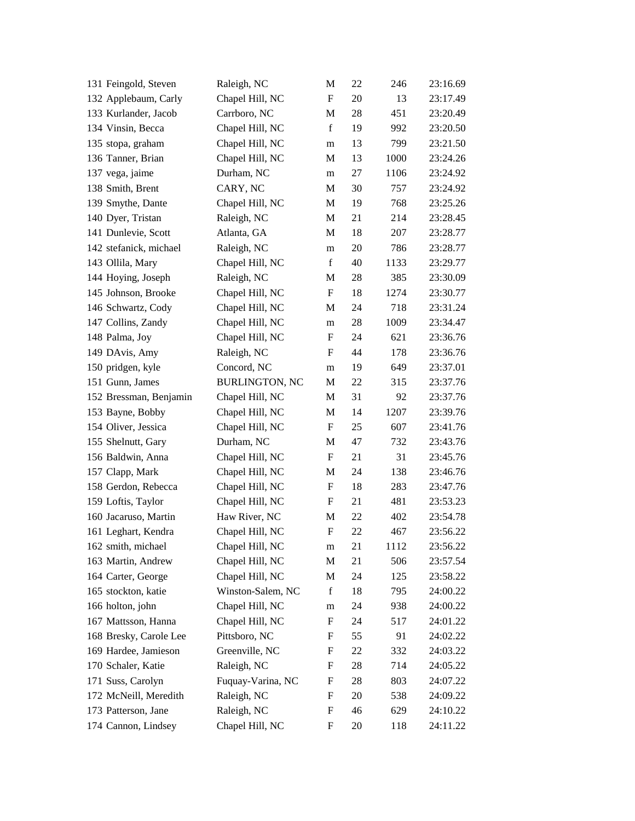| 131 Feingold, Steven   | Raleigh, NC           | M                         | 22 | 246  | 23:16.69 |
|------------------------|-----------------------|---------------------------|----|------|----------|
| 132 Applebaum, Carly   | Chapel Hill, NC       | $\mathbf F$               | 20 | 13   | 23:17.49 |
| 133 Kurlander, Jacob   | Carrboro, NC          | M                         | 28 | 451  | 23:20.49 |
| 134 Vinsin, Becca      | Chapel Hill, NC       | $\mathbf f$               | 19 | 992  | 23:20.50 |
| 135 stopa, graham      | Chapel Hill, NC       | m                         | 13 | 799  | 23:21.50 |
| 136 Tanner, Brian      | Chapel Hill, NC       | М                         | 13 | 1000 | 23:24.26 |
| 137 vega, jaime        | Durham, NC            | m                         | 27 | 1106 | 23:24.92 |
| 138 Smith, Brent       | CARY, NC              | M                         | 30 | 757  | 23:24.92 |
| 139 Smythe, Dante      | Chapel Hill, NC       | M                         | 19 | 768  | 23:25.26 |
| 140 Dyer, Tristan      | Raleigh, NC           | M                         | 21 | 214  | 23:28.45 |
| 141 Dunlevie, Scott    | Atlanta, GA           | M                         | 18 | 207  | 23:28.77 |
| 142 stefanick, michael | Raleigh, NC           | m                         | 20 | 786  | 23:28.77 |
| 143 Ollila, Mary       | Chapel Hill, NC       | $\mathbf f$               | 40 | 1133 | 23:29.77 |
| 144 Hoying, Joseph     | Raleigh, NC           | M                         | 28 | 385  | 23:30.09 |
| 145 Johnson, Brooke    | Chapel Hill, NC       | F                         | 18 | 1274 | 23:30.77 |
| 146 Schwartz, Cody     | Chapel Hill, NC       | M                         | 24 | 718  | 23:31.24 |
| 147 Collins, Zandy     | Chapel Hill, NC       | m                         | 28 | 1009 | 23:34.47 |
| 148 Palma, Joy         | Chapel Hill, NC       | F                         | 24 | 621  | 23:36.76 |
| 149 DAvis, Amy         | Raleigh, NC           | F                         | 44 | 178  | 23:36.76 |
| 150 pridgen, kyle      | Concord, NC           | m                         | 19 | 649  | 23:37.01 |
| 151 Gunn, James        | <b>BURLINGTON, NC</b> | M                         | 22 | 315  | 23:37.76 |
| 152 Bressman, Benjamin | Chapel Hill, NC       | М                         | 31 | 92   | 23:37.76 |
| 153 Bayne, Bobby       | Chapel Hill, NC       | M                         | 14 | 1207 | 23:39.76 |
| 154 Oliver, Jessica    | Chapel Hill, NC       | F                         | 25 | 607  | 23:41.76 |
| 155 Shelnutt, Gary     | Durham, NC            | M                         | 47 | 732  | 23:43.76 |
| 156 Baldwin, Anna      | Chapel Hill, NC       | $\boldsymbol{\mathrm{F}}$ | 21 | 31   | 23:45.76 |
| 157 Clapp, Mark        | Chapel Hill, NC       | М                         | 24 | 138  | 23:46.76 |
| 158 Gerdon, Rebecca    | Chapel Hill, NC       | $\boldsymbol{\mathrm{F}}$ | 18 | 283  | 23:47.76 |
| 159 Loftis, Taylor     | Chapel Hill, NC       | F                         | 21 | 481  | 23:53.23 |
| 160 Jacaruso, Martin   | Haw River, NC         | M                         | 22 | 402  | 23:54.78 |
| 161 Leghart, Kendra    | Chapel Hill, NC       | F                         | 22 | 467  | 23:56.22 |
| 162 smith, michael     | Chapel Hill, NC       | m                         | 21 | 1112 | 23:56.22 |
| 163 Martin, Andrew     | Chapel Hill, NC       | M                         | 21 | 506  | 23:57.54 |
| 164 Carter, George     | Chapel Hill, NC       | M                         | 24 | 125  | 23:58.22 |
| 165 stockton, katie    | Winston-Salem, NC     | f                         | 18 | 795  | 24:00.22 |
| 166 holton, john       | Chapel Hill, NC       | m                         | 24 | 938  | 24:00.22 |
| 167 Mattsson, Hanna    | Chapel Hill, NC       | ${\rm F}$                 | 24 | 517  | 24:01.22 |
| 168 Bresky, Carole Lee | Pittsboro, NC         | F                         | 55 | 91   | 24:02.22 |
| 169 Hardee, Jamieson   | Greenville, NC        | F                         | 22 | 332  | 24:03.22 |
| 170 Schaler, Katie     | Raleigh, NC           | F                         | 28 | 714  | 24:05.22 |
| 171 Suss, Carolyn      | Fuquay-Varina, NC     | F                         | 28 | 803  | 24:07.22 |
| 172 McNeill, Meredith  | Raleigh, NC           | ${\rm F}$                 | 20 | 538  | 24:09.22 |
| 173 Patterson, Jane    | Raleigh, NC           | F                         | 46 | 629  | 24:10.22 |
| 174 Cannon, Lindsey    | Chapel Hill, NC       | F                         | 20 | 118  | 24:11.22 |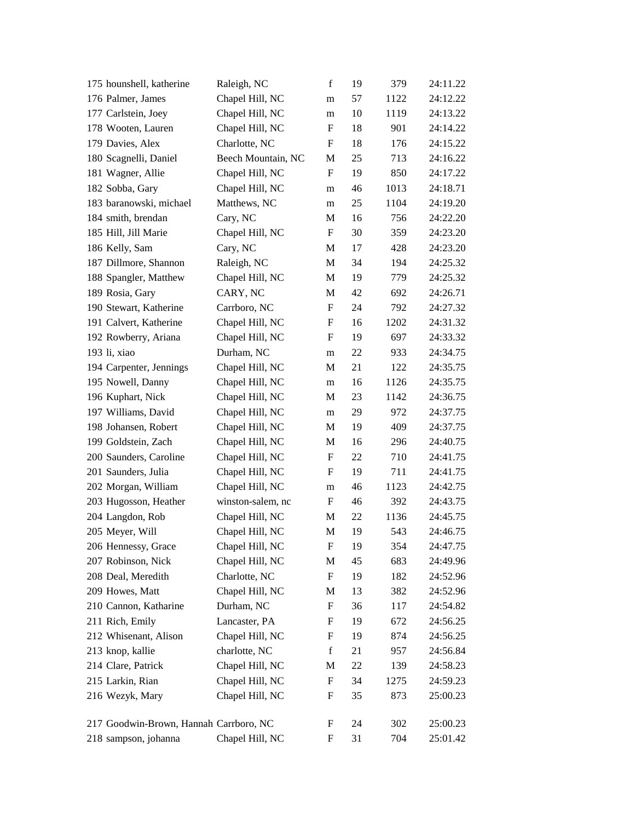| 175 hounshell, katherine               | Raleigh, NC        | $\mathbf f$               | 19 | 379  | 24:11.22 |
|----------------------------------------|--------------------|---------------------------|----|------|----------|
| 176 Palmer, James                      | Chapel Hill, NC    | m                         | 57 | 1122 | 24:12.22 |
| 177 Carlstein, Joey                    | Chapel Hill, NC    | m                         | 10 | 1119 | 24:13.22 |
| 178 Wooten, Lauren                     | Chapel Hill, NC    | F                         | 18 | 901  | 24:14.22 |
| 179 Davies, Alex                       | Charlotte, NC      | F                         | 18 | 176  | 24:15.22 |
| 180 Scagnelli, Daniel                  | Beech Mountain, NC | M                         | 25 | 713  | 24:16.22 |
| 181 Wagner, Allie                      | Chapel Hill, NC    | F                         | 19 | 850  | 24:17.22 |
| 182 Sobba, Gary                        | Chapel Hill, NC    | m                         | 46 | 1013 | 24:18.71 |
| 183 baranowski, michael                | Matthews, NC       | m                         | 25 | 1104 | 24:19.20 |
| 184 smith, brendan                     | Cary, NC           | M                         | 16 | 756  | 24:22.20 |
| 185 Hill, Jill Marie                   | Chapel Hill, NC    | $\mathbf F$               | 30 | 359  | 24:23.20 |
| 186 Kelly, Sam                         | Cary, NC           | М                         | 17 | 428  | 24:23.20 |
| 187 Dillmore, Shannon                  | Raleigh, NC        | M                         | 34 | 194  | 24:25.32 |
| 188 Spangler, Matthew                  | Chapel Hill, NC    | M                         | 19 | 779  | 24:25.32 |
| 189 Rosia, Gary                        | CARY, NC           | M                         | 42 | 692  | 24:26.71 |
| 190 Stewart, Katherine                 | Carrboro, NC       | F                         | 24 | 792  | 24:27.32 |
| 191 Calvert, Katherine                 | Chapel Hill, NC    | F                         | 16 | 1202 | 24:31.32 |
| 192 Rowberry, Ariana                   | Chapel Hill, NC    | F                         | 19 | 697  | 24:33.32 |
| 193 li, xiao                           | Durham, NC         | m                         | 22 | 933  | 24:34.75 |
| 194 Carpenter, Jennings                | Chapel Hill, NC    | М                         | 21 | 122  | 24:35.75 |
| 195 Nowell, Danny                      | Chapel Hill, NC    | m                         | 16 | 1126 | 24:35.75 |
| 196 Kuphart, Nick                      | Chapel Hill, NC    | М                         | 23 | 1142 | 24:36.75 |
| 197 Williams, David                    | Chapel Hill, NC    | m                         | 29 | 972  | 24:37.75 |
| 198 Johansen, Robert                   | Chapel Hill, NC    | M                         | 19 | 409  | 24:37.75 |
| 199 Goldstein, Zach                    | Chapel Hill, NC    | M                         | 16 | 296  | 24:40.75 |
| 200 Saunders, Caroline                 | Chapel Hill, NC    | $\boldsymbol{\mathrm{F}}$ | 22 | 710  | 24:41.75 |
| 201 Saunders, Julia                    | Chapel Hill, NC    | F                         | 19 | 711  | 24:41.75 |
| 202 Morgan, William                    | Chapel Hill, NC    | m                         | 46 | 1123 | 24:42.75 |
| 203 Hugosson, Heather                  | winston-salem, nc  | F                         | 46 | 392  | 24:43.75 |
| 204 Langdon, Rob                       | Chapel Hill, NC    | M                         | 22 | 1136 | 24:45.75 |
| 205 Meyer, Will                        | Chapel Hill, NC    | M                         | 19 | 543  | 24:46.75 |
| 206 Hennessy, Grace                    | Chapel Hill, NC    | F                         | 19 | 354  | 24:47.75 |
| 207 Robinson, Nick                     | Chapel Hill, NC    | M                         | 45 | 683  | 24:49.96 |
| 208 Deal, Meredith                     | Charlotte, NC      | $\boldsymbol{\mathrm{F}}$ | 19 | 182  | 24:52.96 |
| 209 Howes, Matt                        | Chapel Hill, NC    | M                         | 13 | 382  | 24:52.96 |
| 210 Cannon, Katharine                  | Durham, NC         | $\boldsymbol{\mathrm{F}}$ | 36 | 117  | 24:54.82 |
| 211 Rich, Emily                        | Lancaster, PA      | F                         | 19 | 672  | 24:56.25 |
| 212 Whisenant, Alison                  | Chapel Hill, NC    | F                         | 19 | 874  | 24:56.25 |
| 213 knop, kallie                       | charlotte, NC      | $\mathbf f$               | 21 | 957  | 24:56.84 |
| 214 Clare, Patrick                     | Chapel Hill, NC    | M                         | 22 | 139  | 24:58.23 |
| 215 Larkin, Rian                       | Chapel Hill, NC    | $\boldsymbol{\mathrm{F}}$ | 34 | 1275 | 24:59.23 |
| 216 Wezyk, Mary                        | Chapel Hill, NC    | F                         | 35 | 873  | 25:00.23 |
|                                        |                    |                           |    |      |          |
| 217 Goodwin-Brown, Hannah Carrboro, NC |                    | F                         | 24 | 302  | 25:00.23 |
| 218 sampson, johanna                   | Chapel Hill, NC    | F                         | 31 | 704  | 25:01.42 |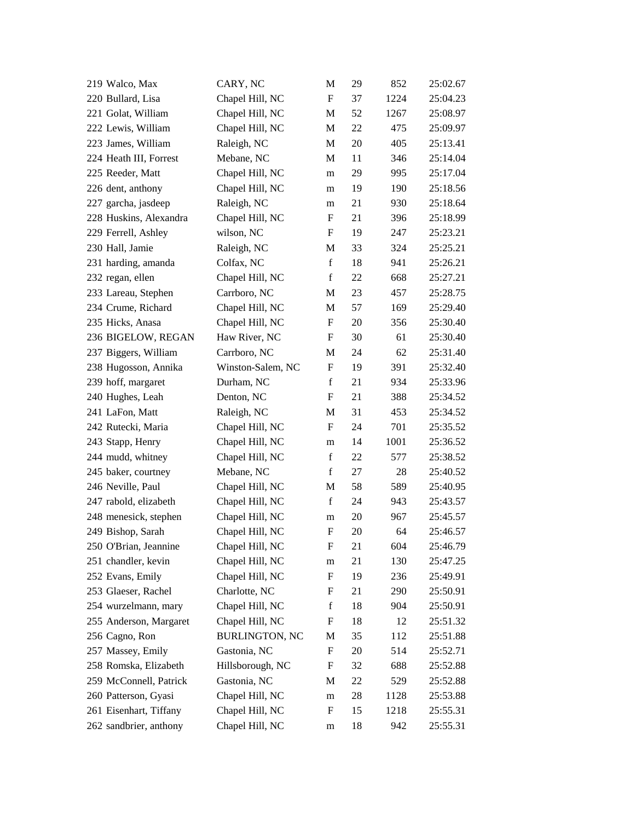| 219 Walco, Max         | CARY, NC              | M                         | 29 | 852  | 25:02.67 |
|------------------------|-----------------------|---------------------------|----|------|----------|
| 220 Bullard, Lisa      | Chapel Hill, NC       | $\boldsymbol{\mathrm{F}}$ | 37 | 1224 | 25:04.23 |
| 221 Golat, William     | Chapel Hill, NC       | M                         | 52 | 1267 | 25:08.97 |
| 222 Lewis, William     | Chapel Hill, NC       | M                         | 22 | 475  | 25:09.97 |
| 223 James, William     | Raleigh, NC           | $\mathbf M$               | 20 | 405  | 25:13.41 |
| 224 Heath III, Forrest | Mebane, NC            | M                         | 11 | 346  | 25:14.04 |
| 225 Reeder, Matt       | Chapel Hill, NC       | m                         | 29 | 995  | 25:17.04 |
| 226 dent, anthony      | Chapel Hill, NC       | m                         | 19 | 190  | 25:18.56 |
| 227 garcha, jasdeep    | Raleigh, NC           | m                         | 21 | 930  | 25:18.64 |
| 228 Huskins, Alexandra | Chapel Hill, NC       | F                         | 21 | 396  | 25:18.99 |
| 229 Ferrell, Ashley    | wilson, NC            | F                         | 19 | 247  | 25:23.21 |
| 230 Hall, Jamie        | Raleigh, NC           | M                         | 33 | 324  | 25:25.21 |
| 231 harding, amanda    | Colfax, NC            | $\mathbf f$               | 18 | 941  | 25:26.21 |
| 232 regan, ellen       | Chapel Hill, NC       | $\mathbf f$               | 22 | 668  | 25:27.21 |
| 233 Lareau, Stephen    | Carrboro, NC          | M                         | 23 | 457  | 25:28.75 |
| 234 Crume, Richard     | Chapel Hill, NC       | M                         | 57 | 169  | 25:29.40 |
| 235 Hicks, Anasa       | Chapel Hill, NC       | F                         | 20 | 356  | 25:30.40 |
| 236 BIGELOW, REGAN     | Haw River, NC         | $\boldsymbol{\mathrm{F}}$ | 30 | 61   | 25:30.40 |
| 237 Biggers, William   | Carrboro, NC          | M                         | 24 | 62   | 25:31.40 |
| 238 Hugosson, Annika   | Winston-Salem, NC     | $\boldsymbol{\mathrm{F}}$ | 19 | 391  | 25:32.40 |
| 239 hoff, margaret     | Durham, NC            | $\mathbf f$               | 21 | 934  | 25:33.96 |
| 240 Hughes, Leah       | Denton, NC            | F                         | 21 | 388  | 25:34.52 |
| 241 LaFon, Matt        | Raleigh, NC           | M                         | 31 | 453  | 25:34.52 |
| 242 Rutecki, Maria     | Chapel Hill, NC       | F                         | 24 | 701  | 25:35.52 |
| 243 Stapp, Henry       | Chapel Hill, NC       | m                         | 14 | 1001 | 25:36.52 |
| 244 mudd, whitney      | Chapel Hill, NC       | $\mathbf f$               | 22 | 577  | 25:38.52 |
| 245 baker, courtney    | Mebane, NC            | f                         | 27 | 28   | 25:40.52 |
| 246 Neville, Paul      | Chapel Hill, NC       | M                         | 58 | 589  | 25:40.95 |
| 247 rabold, elizabeth  | Chapel Hill, NC       | $\mathbf f$               | 24 | 943  | 25:43.57 |
| 248 menesick, stephen  | Chapel Hill, NC       | m                         | 20 | 967  | 25:45.57 |
| 249 Bishop, Sarah      | Chapel Hill, NC       | F                         | 20 | 64   | 25:46.57 |
| 250 O'Brian, Jeannine  | Chapel Hill, NC       | $\boldsymbol{\mathrm{F}}$ | 21 | 604  | 25:46.79 |
| 251 chandler, kevin    | Chapel Hill, NC       | m                         | 21 | 130  | 25:47.25 |
| 252 Evans, Emily       | Chapel Hill, NC       | F                         | 19 | 236  | 25:49.91 |
| 253 Glaeser, Rachel    | Charlotte, NC         | F                         | 21 | 290  | 25:50.91 |
| 254 wurzelmann, mary   | Chapel Hill, NC       | $\mathbf f$               | 18 | 904  | 25:50.91 |
| 255 Anderson, Margaret | Chapel Hill, NC       | F                         | 18 | 12   | 25:51.32 |
| 256 Cagno, Ron         | <b>BURLINGTON, NC</b> | M                         | 35 | 112  | 25:51.88 |
| 257 Massey, Emily      | Gastonia, NC          | $\boldsymbol{F}$          | 20 | 514  | 25:52.71 |
| 258 Romska, Elizabeth  | Hillsborough, NC      | F                         | 32 | 688  | 25:52.88 |
| 259 McConnell, Patrick | Gastonia, NC          | M                         | 22 | 529  | 25:52.88 |
| 260 Patterson, Gyasi   | Chapel Hill, NC       | m                         | 28 | 1128 | 25:53.88 |
| 261 Eisenhart, Tiffany | Chapel Hill, NC       | F                         | 15 | 1218 | 25:55.31 |
| 262 sandbrier, anthony | Chapel Hill, NC       | m                         | 18 | 942  | 25:55.31 |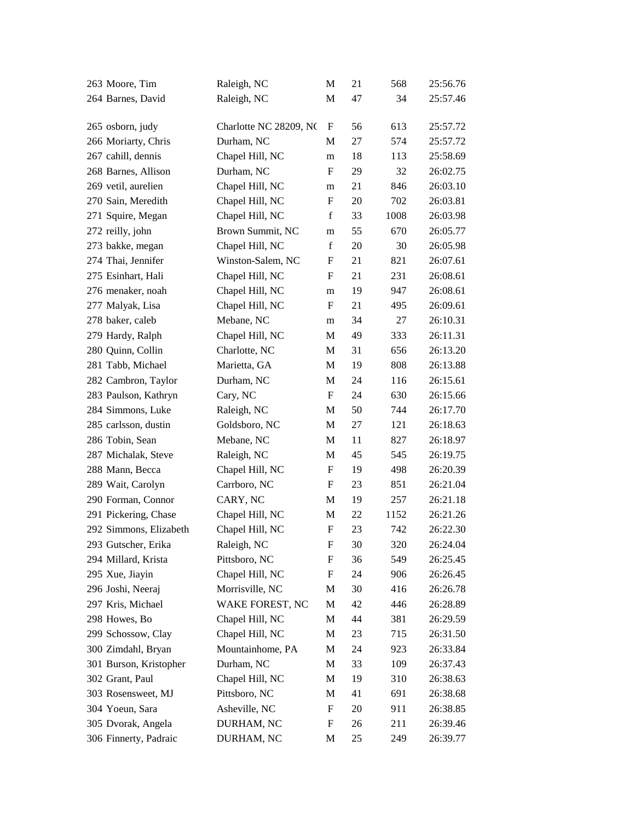| 263 Moore, Tim         | Raleigh, NC            | M                         | 21 | 568  | 25:56.76 |
|------------------------|------------------------|---------------------------|----|------|----------|
| 264 Barnes, David      | Raleigh, NC            | M                         | 47 | 34   | 25:57.46 |
|                        |                        |                           |    |      |          |
| 265 osborn, judy       | Charlotte NC 28209, NC | F                         | 56 | 613  | 25:57.72 |
| 266 Moriarty, Chris    | Durham, NC             | M                         | 27 | 574  | 25:57.72 |
| 267 cahill, dennis     | Chapel Hill, NC        | m                         | 18 | 113  | 25:58.69 |
| 268 Barnes, Allison    | Durham, NC             | F                         | 29 | 32   | 26:02.75 |
| 269 vetil, aurelien    | Chapel Hill, NC        | m                         | 21 | 846  | 26:03.10 |
| 270 Sain, Meredith     | Chapel Hill, NC        | ${\bf F}$                 | 20 | 702  | 26:03.81 |
| 271 Squire, Megan      | Chapel Hill, NC        | f                         | 33 | 1008 | 26:03.98 |
| 272 reilly, john       | Brown Summit, NC       | m                         | 55 | 670  | 26:05.77 |
| 273 bakke, megan       | Chapel Hill, NC        | $\mathbf f$               | 20 | 30   | 26:05.98 |
| 274 Thai, Jennifer     | Winston-Salem, NC      | F                         | 21 | 821  | 26:07.61 |
| 275 Esinhart, Hali     | Chapel Hill, NC        | F                         | 21 | 231  | 26:08.61 |
| 276 menaker, noah      | Chapel Hill, NC        | m                         | 19 | 947  | 26:08.61 |
| 277 Malyak, Lisa       | Chapel Hill, NC        | F                         | 21 | 495  | 26:09.61 |
| 278 baker, caleb       | Mebane, NC             | m                         | 34 | 27   | 26:10.31 |
| 279 Hardy, Ralph       | Chapel Hill, NC        | М                         | 49 | 333  | 26:11.31 |
| 280 Quinn, Collin      | Charlotte, NC          | M                         | 31 | 656  | 26:13.20 |
| 281 Tabb, Michael      | Marietta, GA           | M                         | 19 | 808  | 26:13.88 |
| 282 Cambron, Taylor    | Durham, NC             | M                         | 24 | 116  | 26:15.61 |
| 283 Paulson, Kathryn   | Cary, NC               | F                         | 24 | 630  | 26:15.66 |
| 284 Simmons, Luke      | Raleigh, NC            | M                         | 50 | 744  | 26:17.70 |
| 285 carlsson, dustin   | Goldsboro, NC          | M                         | 27 | 121  | 26:18.63 |
| 286 Tobin, Sean        | Mebane, NC             | M                         | 11 | 827  | 26:18.97 |
| 287 Michalak, Steve    | Raleigh, NC            | M                         | 45 | 545  | 26:19.75 |
| 288 Mann, Becca        | Chapel Hill, NC        | F                         | 19 | 498  | 26:20.39 |
| 289 Wait, Carolyn      | Carrboro, NC           | F                         | 23 | 851  | 26:21.04 |
| 290 Forman, Connor     | CARY, NC               | M                         | 19 | 257  | 26:21.18 |
| 291 Pickering, Chase   | Chapel Hill, NC        | M                         | 22 | 1152 | 26:21.26 |
| 292 Simmons, Elizabeth | Chapel Hill, NC        | $\boldsymbol{\mathrm{F}}$ | 23 | 742  | 26:22.30 |
| 293 Gutscher, Erika    | Raleigh, NC            | ${\bf F}$                 | 30 | 320  | 26:24.04 |
| 294 Millard, Krista    | Pittsboro, NC          | F                         | 36 | 549  | 26:25.45 |
| 295 Xue, Jiayin        | Chapel Hill, NC        | F                         | 24 | 906  | 26:26.45 |
| 296 Joshi, Neeraj      | Morrisville, NC        | М                         | 30 | 416  | 26:26.78 |
| 297 Kris, Michael      | WAKE FOREST, NC        | M                         | 42 | 446  | 26:28.89 |
| 298 Howes, Bo          | Chapel Hill, NC        | M                         | 44 | 381  | 26:29.59 |
| 299 Schossow, Clay     | Chapel Hill, NC        | M                         | 23 | 715  | 26:31.50 |
| 300 Zimdahl, Bryan     | Mountainhome, PA       | M                         | 24 | 923  | 26:33.84 |
| 301 Burson, Kristopher | Durham, NC             | M                         | 33 | 109  | 26:37.43 |
| 302 Grant, Paul        | Chapel Hill, NC        | M                         | 19 | 310  | 26:38.63 |
| 303 Rosensweet, MJ     | Pittsboro, NC          | M                         | 41 | 691  | 26:38.68 |
| 304 Yoeun, Sara        | Asheville, NC          | F                         | 20 | 911  | 26:38.85 |
| 305 Dvorak, Angela     | DURHAM, NC             | F                         | 26 | 211  | 26:39.46 |
| 306 Finnerty, Padraic  | DURHAM, NC             | М                         | 25 | 249  | 26:39.77 |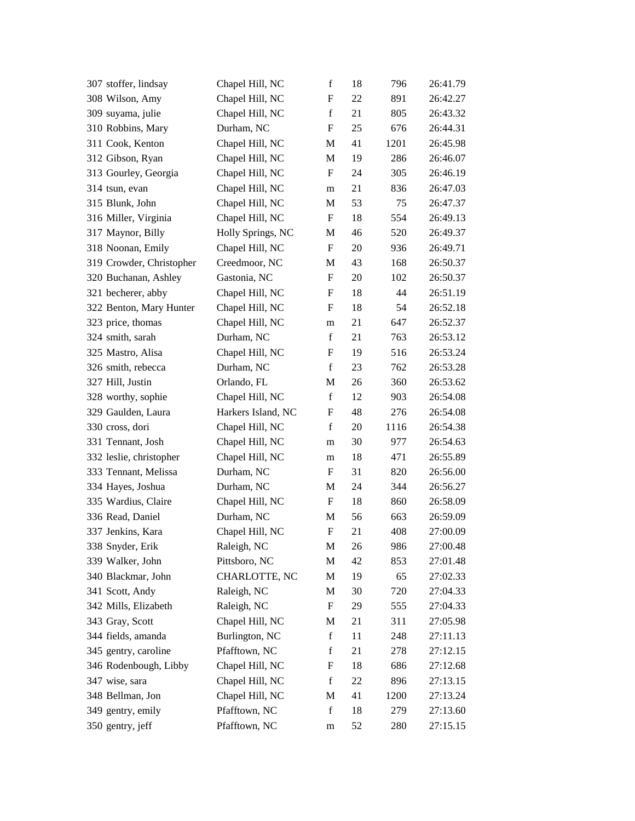| 307 stoffer, lindsay     | Chapel Hill, NC    | $\mathbf f$               | 18 | 796  | 26:41.79 |
|--------------------------|--------------------|---------------------------|----|------|----------|
| 308 Wilson, Amy          | Chapel Hill, NC    | $\boldsymbol{\mathrm{F}}$ | 22 | 891  | 26:42.27 |
| 309 suyama, julie        | Chapel Hill, NC    | $\mathbf f$               | 21 | 805  | 26:43.32 |
| 310 Robbins, Mary        | Durham, NC         | F                         | 25 | 676  | 26:44.31 |
| 311 Cook, Kenton         | Chapel Hill, NC    | M                         | 41 | 1201 | 26:45.98 |
| 312 Gibson, Ryan         | Chapel Hill, NC    | M                         | 19 | 286  | 26:46.07 |
| 313 Gourley, Georgia     | Chapel Hill, NC    | F                         | 24 | 305  | 26:46.19 |
| 314 tsun, evan           | Chapel Hill, NC    | m                         | 21 | 836  | 26:47.03 |
| 315 Blunk, John          | Chapel Hill, NC    | M                         | 53 | 75   | 26:47.37 |
| 316 Miller, Virginia     | Chapel Hill, NC    | $\boldsymbol{\mathrm{F}}$ | 18 | 554  | 26:49.13 |
| 317 Maynor, Billy        | Holly Springs, NC  | M                         | 46 | 520  | 26:49.37 |
| 318 Noonan, Emily        | Chapel Hill, NC    | F                         | 20 | 936  | 26:49.71 |
| 319 Crowder, Christopher | Creedmoor, NC      | M                         | 43 | 168  | 26:50.37 |
| 320 Buchanan, Ashley     | Gastonia, NC       | F                         | 20 | 102  | 26:50.37 |
| 321 becherer, abby       | Chapel Hill, NC    | $\boldsymbol{\mathrm{F}}$ | 18 | 44   | 26:51.19 |
| 322 Benton, Mary Hunter  | Chapel Hill, NC    | F                         | 18 | 54   | 26:52.18 |
| 323 price, thomas        | Chapel Hill, NC    | m                         | 21 | 647  | 26:52.37 |
| 324 smith, sarah         | Durham, NC         | $\mathbf f$               | 21 | 763  | 26:53.12 |
| 325 Mastro, Alisa        | Chapel Hill, NC    | F                         | 19 | 516  | 26:53.24 |
| 326 smith, rebecca       | Durham, NC         | $\mathbf f$               | 23 | 762  | 26:53.28 |
| 327 Hill, Justin         | Orlando, FL        | M                         | 26 | 360  | 26:53.62 |
| 328 worthy, sophie       | Chapel Hill, NC    | $\mathbf f$               | 12 | 903  | 26:54.08 |
| 329 Gaulden, Laura       | Harkers Island, NC | $\boldsymbol{\mathrm{F}}$ | 48 | 276  | 26:54.08 |
| 330 cross, dori          | Chapel Hill, NC    | $\mathbf f$               | 20 | 1116 | 26:54.38 |
| 331 Tennant, Josh        | Chapel Hill, NC    | m                         | 30 | 977  | 26:54.63 |
| 332 leslie, christopher  | Chapel Hill, NC    | m                         | 18 | 471  | 26:55.89 |
| 333 Tennant, Melissa     | Durham, NC         | F                         | 31 | 820  | 26:56.00 |
| 334 Hayes, Joshua        | Durham, NC         | M                         | 24 | 344  | 26:56.27 |
| 335 Wardius, Claire      | Chapel Hill, NC    | F                         | 18 | 860  | 26:58.09 |
| 336 Read, Daniel         | Durham, NC         | M                         | 56 | 663  | 26:59.09 |
| 337 Jenkins, Kara        | Chapel Hill, NC    | F                         | 21 | 408  | 27:00.09 |
| 338 Snyder, Erik         | Raleigh, NC        | M                         | 26 | 986  | 27:00.48 |
| 339 Walker, John         | Pittsboro, NC      | M                         | 42 | 853  | 27:01.48 |
| 340 Blackmar, John       | CHARLOTTE, NC      | M                         | 19 | 65   | 27:02.33 |
| 341 Scott, Andy          | Raleigh, NC        | M                         | 30 | 720  | 27:04.33 |
| 342 Mills, Elizabeth     | Raleigh, NC        | $\boldsymbol{F}$          | 29 | 555  | 27:04.33 |
| 343 Gray, Scott          | Chapel Hill, NC    | M                         | 21 | 311  | 27:05.98 |
| 344 fields, amanda       | Burlington, NC     | $\mathbf f$               | 11 | 248  | 27:11.13 |
| 345 gentry, caroline     | Pfafftown, NC      | $\mathbf f$               | 21 | 278  | 27:12.15 |
| 346 Rodenbough, Libby    | Chapel Hill, NC    | F                         | 18 | 686  | 27:12.68 |
| 347 wise, sara           | Chapel Hill, NC    | $\mathbf f$               | 22 | 896  | 27:13.15 |
| 348 Bellman, Jon         | Chapel Hill, NC    | M                         | 41 | 1200 | 27:13.24 |
| 349 gentry, emily        | Pfafftown, NC      | $\mathbf f$               | 18 | 279  | 27:13.60 |
| 350 gentry, jeff         | Pfafftown, NC      | m                         | 52 | 280  | 27:15.15 |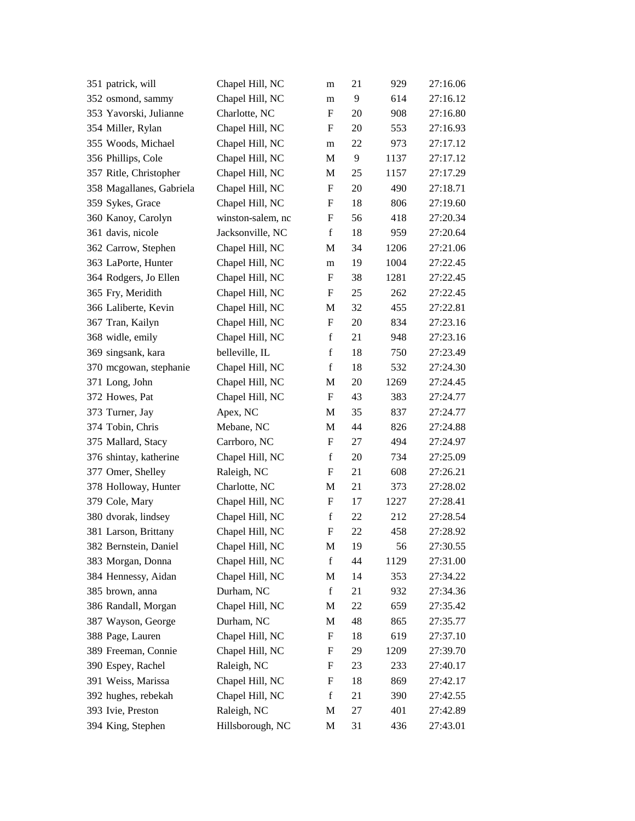| 351 patrick, will        | Chapel Hill, NC   | m                         | 21 | 929  | 27:16.06 |
|--------------------------|-------------------|---------------------------|----|------|----------|
| 352 osmond, sammy        | Chapel Hill, NC   | m                         | 9  | 614  | 27:16.12 |
| 353 Yavorski, Julianne   | Charlotte, NC     | F                         | 20 | 908  | 27:16.80 |
| 354 Miller, Rylan        | Chapel Hill, NC   | F                         | 20 | 553  | 27:16.93 |
| 355 Woods, Michael       | Chapel Hill, NC   | m                         | 22 | 973  | 27:17.12 |
| 356 Phillips, Cole       | Chapel Hill, NC   | M                         | 9  | 1137 | 27:17.12 |
| 357 Ritle, Christopher   | Chapel Hill, NC   | M                         | 25 | 1157 | 27:17.29 |
| 358 Magallanes, Gabriela | Chapel Hill, NC   | $\boldsymbol{\mathrm{F}}$ | 20 | 490  | 27:18.71 |
| 359 Sykes, Grace         | Chapel Hill, NC   | F                         | 18 | 806  | 27:19.60 |
| 360 Kanoy, Carolyn       | winston-salem, nc | ${\bf F}$                 | 56 | 418  | 27:20.34 |
| 361 davis, nicole        | Jacksonville, NC  | $\mathbf f$               | 18 | 959  | 27:20.64 |
| 362 Carrow, Stephen      | Chapel Hill, NC   | M                         | 34 | 1206 | 27:21.06 |
| 363 LaPorte, Hunter      | Chapel Hill, NC   | m                         | 19 | 1004 | 27:22.45 |
| 364 Rodgers, Jo Ellen    | Chapel Hill, NC   | F                         | 38 | 1281 | 27:22.45 |
| 365 Fry, Meridith        | Chapel Hill, NC   | F                         | 25 | 262  | 27:22.45 |
| 366 Laliberte, Kevin     | Chapel Hill, NC   | M                         | 32 | 455  | 27:22.81 |
| 367 Tran, Kailyn         | Chapel Hill, NC   | F                         | 20 | 834  | 27:23.16 |
| 368 widle, emily         | Chapel Hill, NC   | $\mathbf f$               | 21 | 948  | 27:23.16 |
| 369 singsank, kara       | belleville, IL    | $\mathbf f$               | 18 | 750  | 27:23.49 |
| 370 mcgowan, stephanie   | Chapel Hill, NC   | $\mathbf f$               | 18 | 532  | 27:24.30 |
| 371 Long, John           | Chapel Hill, NC   | M                         | 20 | 1269 | 27:24.45 |
| 372 Howes, Pat           | Chapel Hill, NC   | F                         | 43 | 383  | 27:24.77 |
| 373 Turner, Jay          | Apex, NC          | M                         | 35 | 837  | 27:24.77 |
| 374 Tobin, Chris         | Mebane, NC        | M                         | 44 | 826  | 27:24.88 |
| 375 Mallard, Stacy       | Carrboro, NC      | $\boldsymbol{\mathrm{F}}$ | 27 | 494  | 27:24.97 |
| 376 shintay, katherine   | Chapel Hill, NC   | $\mathbf f$               | 20 | 734  | 27:25.09 |
| 377 Omer, Shelley        | Raleigh, NC       | F                         | 21 | 608  | 27:26.21 |
| 378 Holloway, Hunter     | Charlotte, NC     | M                         | 21 | 373  | 27:28.02 |
| 379 Cole, Mary           | Chapel Hill, NC   | F                         | 17 | 1227 | 27:28.41 |
| 380 dvorak, lindsey      | Chapel Hill, NC   | $\mathbf f$               | 22 | 212  | 27:28.54 |
| 381 Larson, Brittany     | Chapel Hill, NC   | F                         | 22 | 458  | 27:28.92 |
| 382 Bernstein, Daniel    | Chapel Hill, NC   | M                         | 19 | 56   | 27:30.55 |
| 383 Morgan, Donna        | Chapel Hill, NC   | $\mathbf f$               | 44 | 1129 | 27:31.00 |
| 384 Hennessy, Aidan      | Chapel Hill, NC   | M                         | 14 | 353  | 27:34.22 |
| 385 brown, anna          | Durham, NC        | $\mathbf f$               | 21 | 932  | 27:34.36 |
| 386 Randall, Morgan      | Chapel Hill, NC   | M                         | 22 | 659  | 27:35.42 |
| 387 Wayson, George       | Durham, NC        | M                         | 48 | 865  | 27:35.77 |
| 388 Page, Lauren         | Chapel Hill, NC   | F                         | 18 | 619  | 27:37.10 |
| 389 Freeman, Connie      | Chapel Hill, NC   | F                         | 29 | 1209 | 27:39.70 |
| 390 Espey, Rachel        | Raleigh, NC       | ${\rm F}$                 | 23 | 233  | 27:40.17 |
| 391 Weiss, Marissa       | Chapel Hill, NC   | $\boldsymbol{\mathrm{F}}$ | 18 | 869  | 27:42.17 |
| 392 hughes, rebekah      | Chapel Hill, NC   | $\mathbf f$               | 21 | 390  | 27:42.55 |
| 393 Ivie, Preston        | Raleigh, NC       | M                         | 27 | 401  | 27:42.89 |
| 394 King, Stephen        | Hillsborough, NC  | M                         | 31 | 436  | 27:43.01 |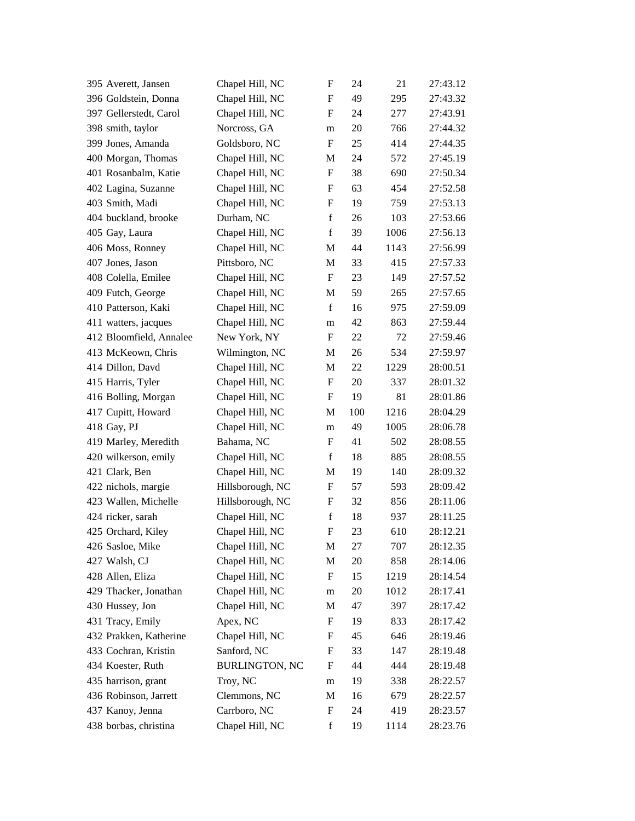| 395 Averett, Jansen     | Chapel Hill, NC       | $\mathbf F$               | 24     | 21   | 27:43.12 |
|-------------------------|-----------------------|---------------------------|--------|------|----------|
| 396 Goldstein, Donna    | Chapel Hill, NC       | F                         | 49     | 295  | 27:43.32 |
| 397 Gellerstedt, Carol  | Chapel Hill, NC       | F                         | 24     | 277  | 27:43.91 |
| 398 smith, taylor       | Norcross, GA          | m                         | $20\,$ | 766  | 27:44.32 |
| 399 Jones, Amanda       | Goldsboro, NC         | F                         | 25     | 414  | 27:44.35 |
| 400 Morgan, Thomas      | Chapel Hill, NC       | M                         | 24     | 572  | 27:45.19 |
| 401 Rosanbalm, Katie    | Chapel Hill, NC       | F                         | 38     | 690  | 27:50.34 |
| 402 Lagina, Suzanne     | Chapel Hill, NC       | ${\rm F}$                 | 63     | 454  | 27:52.58 |
| 403 Smith, Madi         | Chapel Hill, NC       | F                         | 19     | 759  | 27:53.13 |
| 404 buckland, brooke    | Durham, NC            | $\mathbf f$               | 26     | 103  | 27:53.66 |
| 405 Gay, Laura          | Chapel Hill, NC       | $\mathbf f$               | 39     | 1006 | 27:56.13 |
| 406 Moss, Ronney        | Chapel Hill, NC       | M                         | 44     | 1143 | 27:56.99 |
| 407 Jones, Jason        | Pittsboro, NC         | $\mathbf{M}$              | 33     | 415  | 27:57.33 |
| 408 Colella, Emilee     | Chapel Hill, NC       | F                         | 23     | 149  | 27:57.52 |
| 409 Futch, George       | Chapel Hill, NC       | M                         | 59     | 265  | 27:57.65 |
| 410 Patterson, Kaki     | Chapel Hill, NC       | $\mathbf f$               | 16     | 975  | 27:59.09 |
| 411 watters, jacques    | Chapel Hill, NC       | m                         | 42     | 863  | 27:59.44 |
| 412 Bloomfield, Annalee | New York, NY          | $\mathbf F$               | 22     | 72   | 27:59.46 |
| 413 McKeown, Chris      | Wilmington, NC        | M                         | 26     | 534  | 27:59.97 |
| 414 Dillon, Davd        | Chapel Hill, NC       | M                         | 22     | 1229 | 28:00.51 |
| 415 Harris, Tyler       | Chapel Hill, NC       | $\boldsymbol{\mathrm{F}}$ | 20     | 337  | 28:01.32 |
| 416 Bolling, Morgan     | Chapel Hill, NC       | F                         | 19     | 81   | 28:01.86 |
| 417 Cupitt, Howard      | Chapel Hill, NC       | M                         | 100    | 1216 | 28:04.29 |
| 418 Gay, PJ             | Chapel Hill, NC       | m                         | 49     | 1005 | 28:06.78 |
| 419 Marley, Meredith    | Bahama, NC            | F                         | 41     | 502  | 28:08.55 |
| 420 wilkerson, emily    | Chapel Hill, NC       | $\mathbf f$               | 18     | 885  | 28:08.55 |
| 421 Clark, Ben          | Chapel Hill, NC       | M                         | 19     | 140  | 28:09.32 |
| 422 nichols, margie     | Hillsborough, NC      | ${\rm F}$                 | 57     | 593  | 28:09.42 |
| 423 Wallen, Michelle    | Hillsborough, NC      | F                         | 32     | 856  | 28:11.06 |
| 424 ricker, sarah       | Chapel Hill, NC       | $\mathbf f$               | 18     | 937  | 28:11.25 |
| 425 Orchard, Kiley      | Chapel Hill, NC       | F                         | 23     | 610  | 28:12.21 |
| 426 Sasloe, Mike        | Chapel Hill, NC       | M                         | 27     | 707  | 28:12.35 |
| 427 Walsh, CJ           | Chapel Hill, NC       | M                         | 20     | 858  | 28:14.06 |
| 428 Allen, Eliza        | Chapel Hill, NC       | F                         | 15     | 1219 | 28:14.54 |
| 429 Thacker, Jonathan   | Chapel Hill, NC       | m                         | 20     | 1012 | 28:17.41 |
| 430 Hussey, Jon         | Chapel Hill, NC       | M                         | 47     | 397  | 28:17.42 |
| 431 Tracy, Emily        | Apex, NC              | F                         | 19     | 833  | 28:17.42 |
| 432 Prakken, Katherine  | Chapel Hill, NC       | F                         | 45     | 646  | 28:19.46 |
| 433 Cochran, Kristin    | Sanford, NC           | F                         | 33     | 147  | 28:19.48 |
| 434 Koester, Ruth       | <b>BURLINGTON, NC</b> | F                         | 44     | 444  | 28:19.48 |
| 435 harrison, grant     | Troy, NC              | m                         | 19     | 338  | 28:22.57 |
| 436 Robinson, Jarrett   | Clemmons, NC          | M                         | 16     | 679  | 28:22.57 |
| 437 Kanoy, Jenna        | Carrboro, NC          | ${\rm F}$                 | 24     | 419  | 28:23.57 |
| 438 borbas, christina   | Chapel Hill, NC       | $\mathbf f$               | 19     | 1114 | 28:23.76 |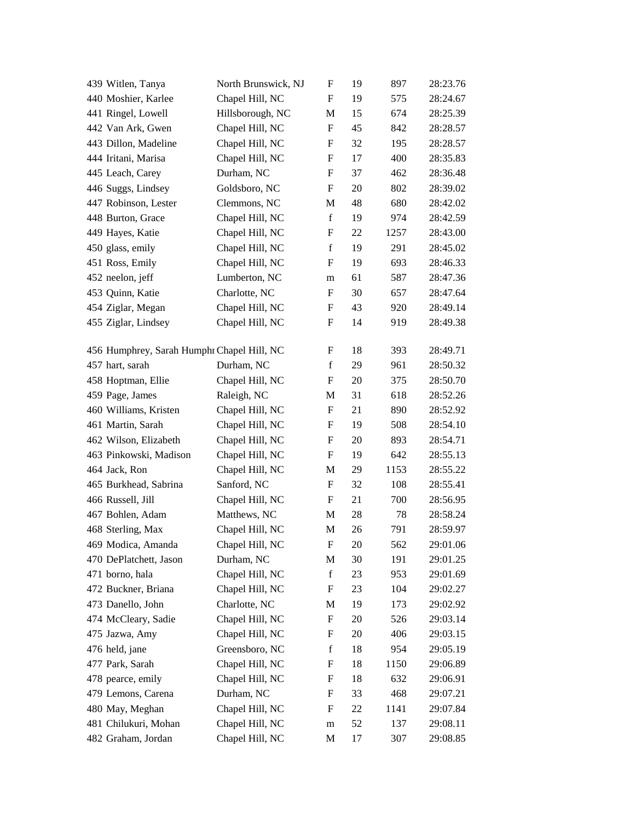| 439 Witlen, Tanya                          | North Brunswick, NJ | F                         | 19 | 897  | 28:23.76 |
|--------------------------------------------|---------------------|---------------------------|----|------|----------|
| 440 Moshier, Karlee                        | Chapel Hill, NC     | F                         | 19 | 575  | 28:24.67 |
| 441 Ringel, Lowell                         | Hillsborough, NC    | M                         | 15 | 674  | 28:25.39 |
| 442 Van Ark, Gwen                          | Chapel Hill, NC     | F                         | 45 | 842  | 28:28.57 |
| 443 Dillon, Madeline                       | Chapel Hill, NC     | F                         | 32 | 195  | 28:28.57 |
| 444 Iritani, Marisa                        | Chapel Hill, NC     | F                         | 17 | 400  | 28:35.83 |
| 445 Leach, Carey                           | Durham, NC          | F                         | 37 | 462  | 28:36.48 |
| 446 Suggs, Lindsey                         | Goldsboro, NC       | F                         | 20 | 802  | 28:39.02 |
| 447 Robinson, Lester                       | Clemmons, NC        | M                         | 48 | 680  | 28:42.02 |
| 448 Burton, Grace                          | Chapel Hill, NC     | $\mathbf f$               | 19 | 974  | 28:42.59 |
| 449 Hayes, Katie                           | Chapel Hill, NC     | F                         | 22 | 1257 | 28:43.00 |
| 450 glass, emily                           | Chapel Hill, NC     | f                         | 19 | 291  | 28:45.02 |
| 451 Ross, Emily                            | Chapel Hill, NC     | F                         | 19 | 693  | 28:46.33 |
| 452 neelon, jeff                           | Lumberton, NC       | m                         | 61 | 587  | 28:47.36 |
| 453 Quinn, Katie                           | Charlotte, NC       | F                         | 30 | 657  | 28:47.64 |
| 454 Ziglar, Megan                          | Chapel Hill, NC     | F                         | 43 | 920  | 28:49.14 |
| 455 Ziglar, Lindsey                        | Chapel Hill, NC     | F                         | 14 | 919  | 28:49.38 |
|                                            |                     |                           |    |      |          |
| 456 Humphrey, Sarah Humphr Chapel Hill, NC |                     | F                         | 18 | 393  | 28:49.71 |
| 457 hart, sarah                            | Durham, NC          | $\mathbf f$               | 29 | 961  | 28:50.32 |
| 458 Hoptman, Ellie                         | Chapel Hill, NC     | F                         | 20 | 375  | 28:50.70 |
| 459 Page, James                            | Raleigh, NC         | M                         | 31 | 618  | 28:52.26 |
| 460 Williams, Kristen                      | Chapel Hill, NC     | F                         | 21 | 890  | 28:52.92 |
| 461 Martin, Sarah                          | Chapel Hill, NC     | F                         | 19 | 508  | 28:54.10 |
| 462 Wilson, Elizabeth                      | Chapel Hill, NC     | F                         | 20 | 893  | 28:54.71 |
| 463 Pinkowski, Madison                     | Chapel Hill, NC     | F                         | 19 | 642  | 28:55.13 |
| 464 Jack, Ron                              | Chapel Hill, NC     | M                         | 29 | 1153 | 28:55.22 |
| 465 Burkhead, Sabrina                      | Sanford, NC         | F                         | 32 | 108  | 28:55.41 |
| 466 Russell, Jill                          | Chapel Hill, NC     | F                         | 21 | 700  | 28:56.95 |
| 467 Bohlen, Adam                           | Matthews, NC        | M                         | 28 | 78   | 28:58.24 |
| 468 Sterling, Max                          | Chapel Hill, NC     | M                         | 26 | 791  | 28:59.97 |
| 469 Modica, Amanda                         | Chapel Hill, NC     | $\boldsymbol{\mathrm{F}}$ | 20 | 562  | 29:01.06 |
| 470 DePlatchett, Jason                     | Durham, NC          | M                         | 30 | 191  | 29:01.25 |
| 471 borno, hala                            | Chapel Hill, NC     | $\mathbf f$               | 23 | 953  | 29:01.69 |
| 472 Buckner, Briana                        | Chapel Hill, NC     | F                         | 23 | 104  | 29:02.27 |
| 473 Danello, John                          | Charlotte, NC       | M                         | 19 | 173  | 29:02.92 |
| 474 McCleary, Sadie                        | Chapel Hill, NC     | $\boldsymbol{\mathrm{F}}$ | 20 | 526  | 29:03.14 |
| 475 Jazwa, Amy                             | Chapel Hill, NC     | F                         | 20 | 406  | 29:03.15 |
| 476 held, jane                             | Greensboro, NC      | $\mathbf f$               | 18 | 954  | 29:05.19 |
| 477 Park, Sarah                            | Chapel Hill, NC     | F                         | 18 | 1150 | 29:06.89 |
| 478 pearce, emily                          | Chapel Hill, NC     | F                         | 18 | 632  | 29:06.91 |
| 479 Lemons, Carena                         | Durham, NC          | F                         | 33 | 468  | 29:07.21 |
| 480 May, Meghan                            | Chapel Hill, NC     | ${\rm F}$                 | 22 | 1141 | 29:07.84 |
| 481 Chilukuri, Mohan                       | Chapel Hill, NC     | ${\rm m}$                 | 52 | 137  | 29:08.11 |
| 482 Graham, Jordan                         | Chapel Hill, NC     | M                         | 17 | 307  | 29:08.85 |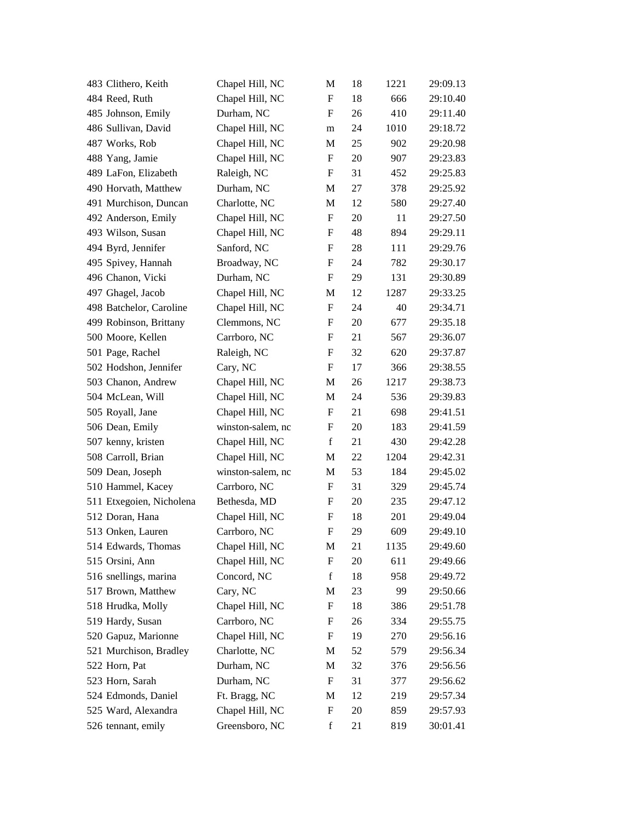| 483 Clithero, Keith      | Chapel Hill, NC   | M                         | 18 | 1221 | 29:09.13 |
|--------------------------|-------------------|---------------------------|----|------|----------|
| 484 Reed, Ruth           | Chapel Hill, NC   | $\mathbf F$               | 18 | 666  | 29:10.40 |
| 485 Johnson, Emily       | Durham, NC        | $\mathbf{F}$              | 26 | 410  | 29:11.40 |
| 486 Sullivan, David      | Chapel Hill, NC   | m                         | 24 | 1010 | 29:18.72 |
| 487 Works, Rob           | Chapel Hill, NC   | M                         | 25 | 902  | 29:20.98 |
| 488 Yang, Jamie          | Chapel Hill, NC   | $\boldsymbol{\mathrm{F}}$ | 20 | 907  | 29:23.83 |
| 489 LaFon, Elizabeth     | Raleigh, NC       | F                         | 31 | 452  | 29:25.83 |
| 490 Horvath, Matthew     | Durham, NC        | M                         | 27 | 378  | 29:25.92 |
| 491 Murchison, Duncan    | Charlotte, NC     | M                         | 12 | 580  | 29:27.40 |
| 492 Anderson, Emily      | Chapel Hill, NC   | $\boldsymbol{\mathrm{F}}$ | 20 | 11   | 29:27.50 |
| 493 Wilson, Susan        | Chapel Hill, NC   | $\boldsymbol{\mathrm{F}}$ | 48 | 894  | 29:29.11 |
| 494 Byrd, Jennifer       | Sanford, NC       | F                         | 28 | 111  | 29:29.76 |
| 495 Spivey, Hannah       | Broadway, NC      | $\boldsymbol{\mathrm{F}}$ | 24 | 782  | 29:30.17 |
| 496 Chanon, Vicki        | Durham, NC        | F                         | 29 | 131  | 29:30.89 |
| 497 Ghagel, Jacob        | Chapel Hill, NC   | M                         | 12 | 1287 | 29:33.25 |
| 498 Batchelor, Caroline  | Chapel Hill, NC   | $\boldsymbol{\mathrm{F}}$ | 24 | 40   | 29:34.71 |
| 499 Robinson, Brittany   | Clemmons, NC      | F                         | 20 | 677  | 29:35.18 |
| 500 Moore, Kellen        | Carrboro, NC      | $\boldsymbol{\mathrm{F}}$ | 21 | 567  | 29:36.07 |
| 501 Page, Rachel         | Raleigh, NC       | F                         | 32 | 620  | 29:37.87 |
| 502 Hodshon, Jennifer    | Cary, NC          | F                         | 17 | 366  | 29:38.55 |
| 503 Chanon, Andrew       | Chapel Hill, NC   | M                         | 26 | 1217 | 29:38.73 |
| 504 McLean, Will         | Chapel Hill, NC   | M                         | 24 | 536  | 29:39.83 |
| 505 Royall, Jane         | Chapel Hill, NC   | $\boldsymbol{\mathrm{F}}$ | 21 | 698  | 29:41.51 |
| 506 Dean, Emily          | winston-salem, nc | F                         | 20 | 183  | 29:41.59 |
| 507 kenny, kristen       | Chapel Hill, NC   | $\mathbf f$               | 21 | 430  | 29:42.28 |
| 508 Carroll, Brian       | Chapel Hill, NC   | M                         | 22 | 1204 | 29:42.31 |
| 509 Dean, Joseph         | winston-salem, nc | M                         | 53 | 184  | 29:45.02 |
| 510 Hammel, Kacey        | Carrboro, NC      | $\boldsymbol{\mathrm{F}}$ | 31 | 329  | 29:45.74 |
| 511 Etxegoien, Nicholena | Bethesda, MD      | F                         | 20 | 235  | 29:47.12 |
| 512 Doran, Hana          | Chapel Hill, NC   | $\boldsymbol{F}$          | 18 | 201  | 29:49.04 |
| 513 Onken, Lauren        | Carrboro, NC      | F                         | 29 | 609  | 29:49.10 |
| 514 Edwards, Thomas      | Chapel Hill, NC   | M                         | 21 | 1135 | 29:49.60 |
| 515 Orsini, Ann          | Chapel Hill, NC   | F                         | 20 | 611  | 29:49.66 |
| 516 snellings, marina    | Concord, NC       | $\mathbf f$               | 18 | 958  | 29:49.72 |
| 517 Brown, Matthew       | Cary, NC          | M                         | 23 | 99   | 29:50.66 |
| 518 Hrudka, Molly        | Chapel Hill, NC   | $\boldsymbol{F}$          | 18 | 386  | 29:51.78 |
| 519 Hardy, Susan         | Carrboro, NC      | F                         | 26 | 334  | 29:55.75 |
| 520 Gapuz, Marionne      | Chapel Hill, NC   | F                         | 19 | 270  | 29:56.16 |
| 521 Murchison, Bradley   | Charlotte, NC     | M                         | 52 | 579  | 29:56.34 |
| 522 Horn, Pat            | Durham, NC        | M                         | 32 | 376  | 29:56.56 |
| 523 Horn, Sarah          | Durham, NC        | $\boldsymbol{F}$          | 31 | 377  | 29:56.62 |
| 524 Edmonds, Daniel      | Ft. Bragg, NC     | M                         | 12 | 219  | 29:57.34 |
| 525 Ward, Alexandra      | Chapel Hill, NC   | F                         | 20 | 859  | 29:57.93 |
| 526 tennant, emily       | Greensboro, NC    | $\mathbf f$               | 21 | 819  | 30:01.41 |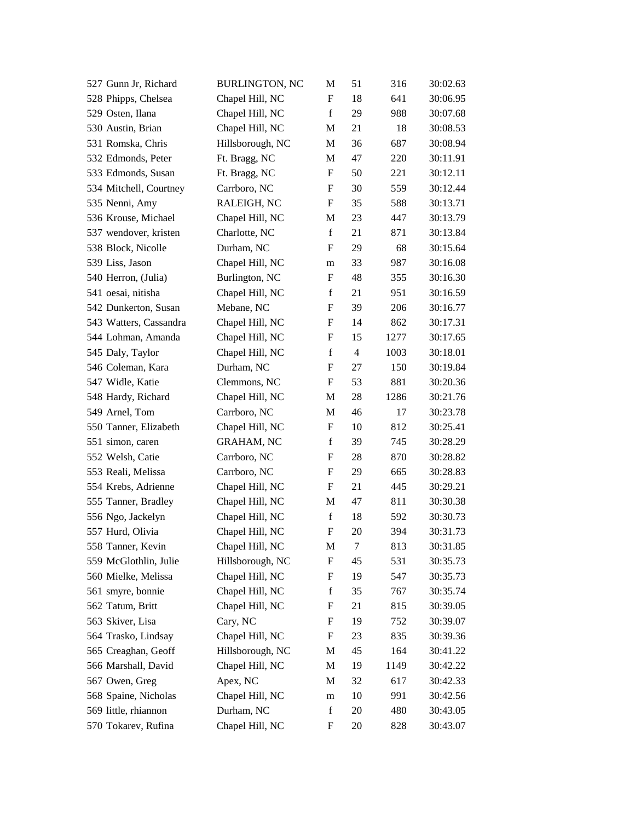| 527 Gunn Jr, Richard   | <b>BURLINGTON, NC</b> | М                         | 51             | 316  | 30:02.63 |
|------------------------|-----------------------|---------------------------|----------------|------|----------|
| 528 Phipps, Chelsea    | Chapel Hill, NC       | F                         | 18             | 641  | 30:06.95 |
| 529 Osten, Ilana       | Chapel Hill, NC       | $\mathbf f$               | 29             | 988  | 30:07.68 |
| 530 Austin, Brian      | Chapel Hill, NC       | M                         | 21             | 18   | 30:08.53 |
| 531 Romska, Chris      | Hillsborough, NC      | $\mathbf M$               | 36             | 687  | 30:08.94 |
| 532 Edmonds, Peter     | Ft. Bragg, NC         | M                         | 47             | 220  | 30:11.91 |
| 533 Edmonds, Susan     | Ft. Bragg, NC         | F                         | 50             | 221  | 30:12.11 |
| 534 Mitchell, Courtney | Carrboro, NC          | ${\bf F}$                 | 30             | 559  | 30:12.44 |
| 535 Nenni, Amy         | RALEIGH, NC           | $\boldsymbol{F}$          | 35             | 588  | 30:13.71 |
| 536 Krouse, Michael    | Chapel Hill, NC       | M                         | 23             | 447  | 30:13.79 |
| 537 wendover, kristen  | Charlotte, NC         | $\mathbf f$               | 21             | 871  | 30:13.84 |
| 538 Block, Nicolle     | Durham, NC            | F                         | 29             | 68   | 30:15.64 |
| 539 Liss, Jason        | Chapel Hill, NC       | m                         | 33             | 987  | 30:16.08 |
| 540 Herron, (Julia)    | Burlington, NC        | F                         | 48             | 355  | 30:16.30 |
| 541 oesai, nitisha     | Chapel Hill, NC       | $\mathbf f$               | 21             | 951  | 30:16.59 |
| 542 Dunkerton, Susan   | Mebane, NC            | F                         | 39             | 206  | 30:16.77 |
| 543 Watters, Cassandra | Chapel Hill, NC       | F                         | 14             | 862  | 30:17.31 |
| 544 Lohman, Amanda     | Chapel Hill, NC       | ${\bf F}$                 | 15             | 1277 | 30:17.65 |
| 545 Daly, Taylor       | Chapel Hill, NC       | $\mathbf f$               | $\overline{4}$ | 1003 | 30:18.01 |
| 546 Coleman, Kara      | Durham, NC            | F                         | 27             | 150  | 30:19.84 |
| 547 Widle, Katie       | Clemmons, NC          | F                         | 53             | 881  | 30:20.36 |
| 548 Hardy, Richard     | Chapel Hill, NC       | M                         | 28             | 1286 | 30:21.76 |
| 549 Arnel, Tom         | Carrboro, NC          | M                         | 46             | 17   | 30:23.78 |
| 550 Tanner, Elizabeth  | Chapel Hill, NC       | $\boldsymbol{F}$          | 10             | 812  | 30:25.41 |
| 551 simon, caren       | <b>GRAHAM, NC</b>     | $\mathbf f$               | 39             | 745  | 30:28.29 |
| 552 Welsh, Catie       | Carrboro, NC          | F                         | 28             | 870  | 30:28.82 |
| 553 Reali, Melissa     | Carrboro, NC          | F                         | 29             | 665  | 30:28.83 |
| 554 Krebs, Adrienne    | Chapel Hill, NC       | F                         | 21             | 445  | 30:29.21 |
| 555 Tanner, Bradley    | Chapel Hill, NC       | M                         | 47             | 811  | 30:30.38 |
| 556 Ngo, Jackelyn      | Chapel Hill, NC       | $\mathbf f$               | 18             | 592  | 30:30.73 |
| 557 Hurd, Olivia       | Chapel Hill, NC       | F                         | 20             | 394  | 30:31.73 |
| 558 Tanner, Kevin      | Chapel Hill, NC       | M                         | 7              | 813  | 30:31.85 |
| 559 McGlothlin, Julie  | Hillsborough, NC      | $\boldsymbol{\mathrm{F}}$ | 45             | 531  | 30:35.73 |
| 560 Mielke, Melissa    | Chapel Hill, NC       | F                         | 19             | 547  | 30:35.73 |
| 561 smyre, bonnie      | Chapel Hill, NC       | $\mathbf f$               | 35             | 767  | 30:35.74 |
| 562 Tatum, Britt       | Chapel Hill, NC       | F                         | 21             | 815  | 30:39.05 |
| 563 Skiver, Lisa       | Cary, NC              | $\boldsymbol{F}$          | 19             | 752  | 30:39.07 |
| 564 Trasko, Lindsay    | Chapel Hill, NC       | F                         | 23             | 835  | 30:39.36 |
| 565 Creaghan, Geoff    | Hillsborough, NC      | M                         | 45             | 164  | 30:41.22 |
| 566 Marshall, David    | Chapel Hill, NC       | M                         | 19             | 1149 | 30:42.22 |
| 567 Owen, Greg         | Apex, NC              | M                         | 32             | 617  | 30:42.33 |
| 568 Spaine, Nicholas   | Chapel Hill, NC       | ${\rm m}$                 | 10             | 991  | 30:42.56 |
| 569 little, rhiannon   | Durham, NC            | $\mathbf f$               | 20             | 480  | 30:43.05 |
| 570 Tokarev, Rufina    | Chapel Hill, NC       | F                         | 20             | 828  | 30:43.07 |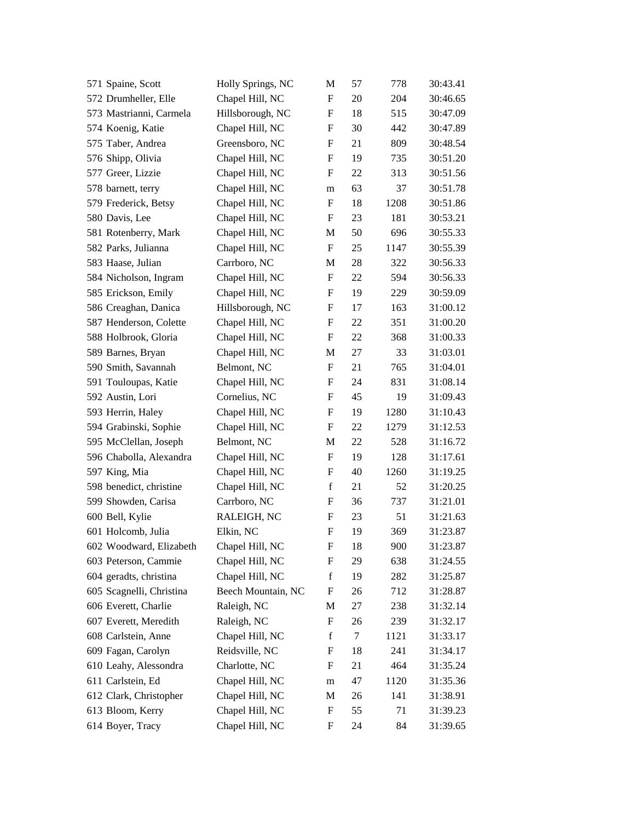| 571 Spaine, Scott        | Holly Springs, NC  | М                         | 57 | 778  | 30:43.41 |
|--------------------------|--------------------|---------------------------|----|------|----------|
| 572 Drumheller, Elle     | Chapel Hill, NC    | $\mathbf F$               | 20 | 204  | 30:46.65 |
| 573 Mastrianni, Carmela  | Hillsborough, NC   | $\boldsymbol{\mathrm{F}}$ | 18 | 515  | 30:47.09 |
| 574 Koenig, Katie        | Chapel Hill, NC    | F                         | 30 | 442  | 30:47.89 |
| 575 Taber, Andrea        | Greensboro, NC     | $\boldsymbol{\mathrm{F}}$ | 21 | 809  | 30:48.54 |
| 576 Shipp, Olivia        | Chapel Hill, NC    | F                         | 19 | 735  | 30:51.20 |
| 577 Greer, Lizzie        | Chapel Hill, NC    | F                         | 22 | 313  | 30:51.56 |
| 578 barnett, terry       | Chapel Hill, NC    | m                         | 63 | 37   | 30:51.78 |
| 579 Frederick, Betsy     | Chapel Hill, NC    | $\boldsymbol{\mathrm{F}}$ | 18 | 1208 | 30:51.86 |
| 580 Davis, Lee           | Chapel Hill, NC    | $\boldsymbol{\mathrm{F}}$ | 23 | 181  | 30:53.21 |
| 581 Rotenberry, Mark     | Chapel Hill, NC    | M                         | 50 | 696  | 30:55.33 |
| 582 Parks, Julianna      | Chapel Hill, NC    | F                         | 25 | 1147 | 30:55.39 |
| 583 Haase, Julian        | Carrboro, NC       | M                         | 28 | 322  | 30:56.33 |
| 584 Nicholson, Ingram    | Chapel Hill, NC    | F                         | 22 | 594  | 30:56.33 |
| 585 Erickson, Emily      | Chapel Hill, NC    | $\boldsymbol{\mathrm{F}}$ | 19 | 229  | 30:59.09 |
| 586 Creaghan, Danica     | Hillsborough, NC   | F                         | 17 | 163  | 31:00.12 |
| 587 Henderson, Colette   | Chapel Hill, NC    | F                         | 22 | 351  | 31:00.20 |
| 588 Holbrook, Gloria     | Chapel Hill, NC    | $\boldsymbol{\mathrm{F}}$ | 22 | 368  | 31:00.33 |
| 589 Barnes, Bryan        | Chapel Hill, NC    | M                         | 27 | 33   | 31:03.01 |
| 590 Smith, Savannah      | Belmont, NC        | $\boldsymbol{\mathrm{F}}$ | 21 | 765  | 31:04.01 |
| 591 Touloupas, Katie     | Chapel Hill, NC    | F                         | 24 | 831  | 31:08.14 |
| 592 Austin, Lori         | Cornelius, NC      | F                         | 45 | 19   | 31:09.43 |
| 593 Herrin, Haley        | Chapel Hill, NC    | $\boldsymbol{\mathrm{F}}$ | 19 | 1280 | 31:10.43 |
| 594 Grabinski, Sophie    | Chapel Hill, NC    | F                         | 22 | 1279 | 31:12.53 |
| 595 McClellan, Joseph    | Belmont, NC        | $\mathbf{M}$              | 22 | 528  | 31:16.72 |
| 596 Chabolla, Alexandra  | Chapel Hill, NC    | F                         | 19 | 128  | 31:17.61 |
| 597 King, Mia            | Chapel Hill, NC    | F                         | 40 | 1260 | 31:19.25 |
| 598 benedict, christine  | Chapel Hill, NC    | $\mathbf f$               | 21 | 52   | 31:20.25 |
| 599 Showden, Carisa      | Carrboro, NC       | F                         | 36 | 737  | 31:21.01 |
| 600 Bell, Kylie          | RALEIGH, NC        | $\boldsymbol{\mathrm{F}}$ | 23 | 51   | 31:21.63 |
| 601 Holcomb, Julia       | Elkin, NC          | F                         | 19 | 369  | 31:23.87 |
| 602 Woodward, Elizabeth  | Chapel Hill, NC    | F                         | 18 | 900  | 31:23.87 |
| 603 Peterson, Cammie     | Chapel Hill, NC    | F                         | 29 | 638  | 31:24.55 |
| 604 geradts, christina   | Chapel Hill, NC    | $\mathbf f$               | 19 | 282  | 31:25.87 |
| 605 Scagnelli, Christina | Beech Mountain, NC | F                         | 26 | 712  | 31:28.87 |
| 606 Everett, Charlie     | Raleigh, NC        | M                         | 27 | 238  | 31:32.14 |
| 607 Everett, Meredith    | Raleigh, NC        | $\boldsymbol{F}$          | 26 | 239  | 31:32.17 |
| 608 Carlstein, Anne      | Chapel Hill, NC    | $\mathbf f$               | 7  | 1121 | 31:33.17 |
| 609 Fagan, Carolyn       | Reidsville, NC     | F                         | 18 | 241  | 31:34.17 |
| 610 Leahy, Alessondra    | Charlotte, NC      | F                         | 21 | 464  | 31:35.24 |
| 611 Carlstein, Ed        | Chapel Hill, NC    | m                         | 47 | 1120 | 31:35.36 |
| 612 Clark, Christopher   | Chapel Hill, NC    | M                         | 26 | 141  | 31:38.91 |
| 613 Bloom, Kerry         | Chapel Hill, NC    | F                         | 55 | 71   | 31:39.23 |
| 614 Boyer, Tracy         | Chapel Hill, NC    | F                         | 24 | 84   | 31:39.65 |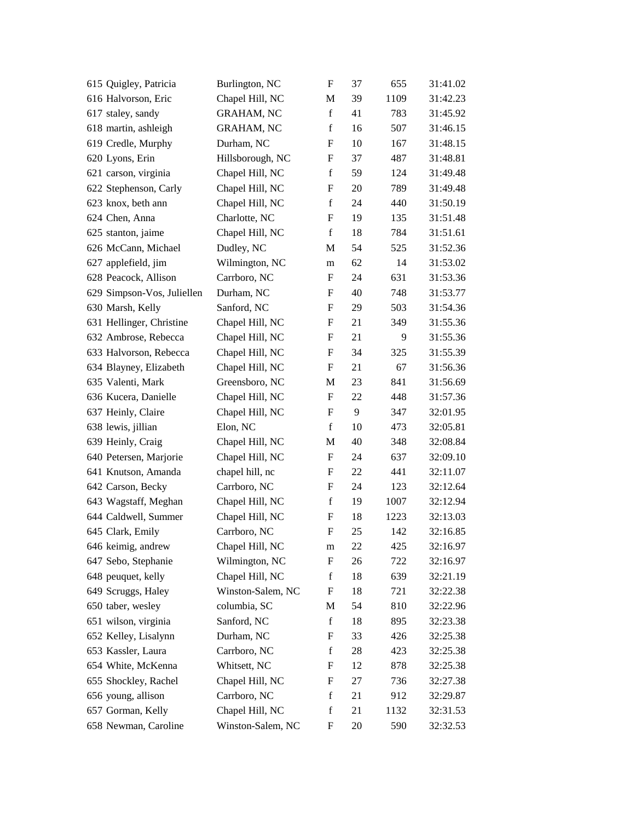| 615 Quigley, Patricia      | Burlington, NC    | $\boldsymbol{\mathrm{F}}$ | 37 | 655  | 31:41.02 |
|----------------------------|-------------------|---------------------------|----|------|----------|
| 616 Halvorson, Eric        | Chapel Hill, NC   | M                         | 39 | 1109 | 31:42.23 |
| 617 staley, sandy          | <b>GRAHAM, NC</b> | $\mathbf f$               | 41 | 783  | 31:45.92 |
| 618 martin, ashleigh       | <b>GRAHAM, NC</b> | $\mathbf f$               | 16 | 507  | 31:46.15 |
| 619 Credle, Murphy         | Durham, NC        | F                         | 10 | 167  | 31:48.15 |
| 620 Lyons, Erin            | Hillsborough, NC  | $\boldsymbol{\mathrm{F}}$ | 37 | 487  | 31:48.81 |
| 621 carson, virginia       | Chapel Hill, NC   | $\mathbf f$               | 59 | 124  | 31:49.48 |
| 622 Stephenson, Carly      | Chapel Hill, NC   | $\boldsymbol{\mathrm{F}}$ | 20 | 789  | 31:49.48 |
| 623 knox, beth ann         | Chapel Hill, NC   | $\mathbf f$               | 24 | 440  | 31:50.19 |
| 624 Chen, Anna             | Charlotte, NC     | $\boldsymbol{\mathrm{F}}$ | 19 | 135  | 31:51.48 |
| 625 stanton, jaime         | Chapel Hill, NC   | $\mathbf f$               | 18 | 784  | 31:51.61 |
| 626 McCann, Michael        | Dudley, NC        | M                         | 54 | 525  | 31:52.36 |
| 627 applefield, jim        | Wilmington, NC    | m                         | 62 | 14   | 31:53.02 |
| 628 Peacock, Allison       | Carrboro, NC      | F                         | 24 | 631  | 31:53.36 |
| 629 Simpson-Vos, Juliellen | Durham, NC        | F                         | 40 | 748  | 31:53.77 |
| 630 Marsh, Kelly           | Sanford, NC       | $\boldsymbol{\mathrm{F}}$ | 29 | 503  | 31:54.36 |
| 631 Hellinger, Christine   | Chapel Hill, NC   | F                         | 21 | 349  | 31:55.36 |
| 632 Ambrose, Rebecca       | Chapel Hill, NC   | $\boldsymbol{\mathrm{F}}$ | 21 | 9    | 31:55.36 |
| 633 Halvorson, Rebecca     | Chapel Hill, NC   | F                         | 34 | 325  | 31:55.39 |
| 634 Blayney, Elizabeth     | Chapel Hill, NC   | F                         | 21 | 67   | 31:56.36 |
| 635 Valenti, Mark          | Greensboro, NC    | M                         | 23 | 841  | 31:56.69 |
| 636 Kucera, Danielle       | Chapel Hill, NC   | $\boldsymbol{\mathrm{F}}$ | 22 | 448  | 31:57.36 |
| 637 Heinly, Claire         | Chapel Hill, NC   | $\boldsymbol{\mathrm{F}}$ | 9  | 347  | 32:01.95 |
| 638 lewis, jillian         | Elon, NC          | $\mathbf f$               | 10 | 473  | 32:05.81 |
| 639 Heinly, Craig          | Chapel Hill, NC   | M                         | 40 | 348  | 32:08.84 |
| 640 Petersen, Marjorie     | Chapel Hill, NC   | $\boldsymbol{\mathrm{F}}$ | 24 | 637  | 32:09.10 |
| 641 Knutson, Amanda        | chapel hill, nc   | F                         | 22 | 441  | 32:11.07 |
| 642 Carson, Becky          | Carrboro, NC      | $\boldsymbol{\mathrm{F}}$ | 24 | 123  | 32:12.64 |
| 643 Wagstaff, Meghan       | Chapel Hill, NC   | $\mathbf f$               | 19 | 1007 | 32:12.94 |
| 644 Caldwell, Summer       | Chapel Hill, NC   | F                         | 18 | 1223 | 32:13.03 |
| 645 Clark, Emily           | Carrboro, NC      | F                         | 25 | 142  | 32:16.85 |
| 646 keimig, andrew         | Chapel Hill, NC   | m                         | 22 | 425  | 32:16.97 |
| 647 Sebo, Stephanie        | Wilmington, NC    | $\boldsymbol{\mathrm{F}}$ | 26 | 722  | 32:16.97 |
| 648 peuquet, kelly         | Chapel Hill, NC   | $\mathbf f$               | 18 | 639  | 32:21.19 |
| 649 Scruggs, Haley         | Winston-Salem, NC | F                         | 18 | 721  | 32:22.38 |
| 650 taber, wesley          | columbia, SC      | M                         | 54 | 810  | 32:22.96 |
| 651 wilson, virginia       | Sanford, NC       | $\mathbf f$               | 18 | 895  | 32:23.38 |
| 652 Kelley, Lisalynn       | Durham, NC        | F                         | 33 | 426  | 32:25.38 |
| 653 Kassler, Laura         | Carrboro, NC      | $\mathbf f$               | 28 | 423  | 32:25.38 |
| 654 White, McKenna         | Whitsett, NC      | F                         | 12 | 878  | 32:25.38 |
| 655 Shockley, Rachel       | Chapel Hill, NC   | F                         | 27 | 736  | 32:27.38 |
| 656 young, allison         | Carrboro, NC      | $\mathbf f$               | 21 | 912  | 32:29.87 |
| 657 Gorman, Kelly          | Chapel Hill, NC   | $\mathbf f$               | 21 | 1132 | 32:31.53 |
| 658 Newman, Caroline       | Winston-Salem, NC | F                         | 20 | 590  | 32:32.53 |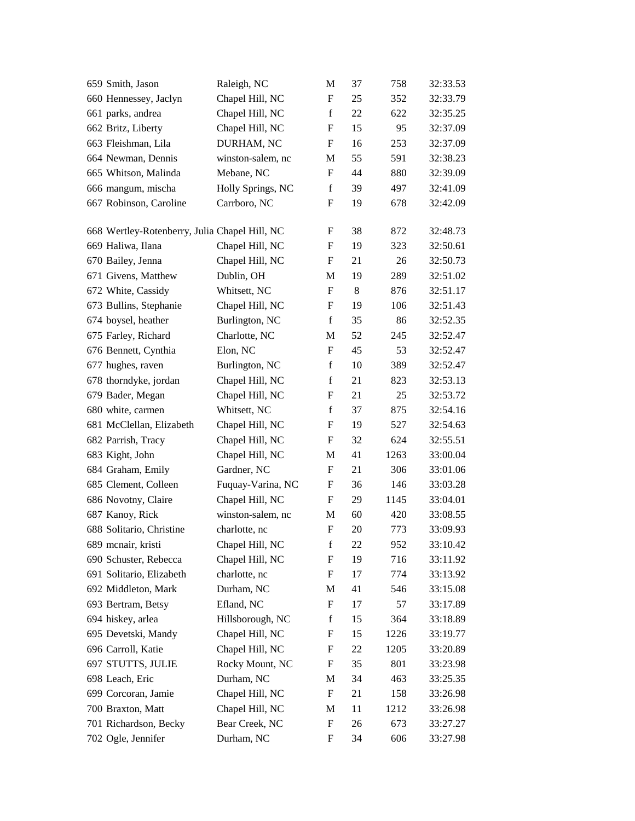| 659 Smith, Jason                              | Raleigh, NC       | M                         | 37      | 758  | 32:33.53 |
|-----------------------------------------------|-------------------|---------------------------|---------|------|----------|
| 660 Hennessey, Jaclyn                         | Chapel Hill, NC   | $\boldsymbol{\mathrm{F}}$ | 25      | 352  | 32:33.79 |
| 661 parks, andrea                             | Chapel Hill, NC   | $\mathbf f$               | 22      | 622  | 32:35.25 |
| 662 Britz, Liberty                            | Chapel Hill, NC   | F                         | 15      | 95   | 32:37.09 |
| 663 Fleishman, Lila                           | DURHAM, NC        | ${\rm F}$                 | 16      | 253  | 32:37.09 |
| 664 Newman, Dennis                            | winston-salem, nc | M                         | 55      | 591  | 32:38.23 |
| 665 Whitson, Malinda                          | Mebane, NC        | F                         | 44      | 880  | 32:39.09 |
| 666 mangum, mischa                            | Holly Springs, NC | $\mathbf f$               | 39      | 497  | 32:41.09 |
| 667 Robinson, Caroline                        | Carrboro, NC      | F                         | 19      | 678  | 32:42.09 |
| 668 Wertley-Rotenberry, Julia Chapel Hill, NC |                   | F                         | 38      | 872  | 32:48.73 |
| 669 Haliwa, Ilana                             | Chapel Hill, NC   | F                         | 19      | 323  | 32:50.61 |
| 670 Bailey, Jenna                             | Chapel Hill, NC   | F                         | 21      | 26   | 32:50.73 |
| 671 Givens, Matthew                           | Dublin, OH        | M                         | 19      | 289  | 32:51.02 |
| 672 White, Cassidy                            | Whitsett, NC      | F                         | $\,8\,$ | 876  | 32:51.17 |
| 673 Bullins, Stephanie                        | Chapel Hill, NC   | F                         | 19      | 106  | 32:51.43 |
| 674 boysel, heather                           | Burlington, NC    | $\mathbf f$               | 35      | 86   | 32:52.35 |
| 675 Farley, Richard                           | Charlotte, NC     | M                         | 52      | 245  | 32:52.47 |
| 676 Bennett, Cynthia                          | Elon, NC          | F                         | 45      | 53   | 32:52.47 |
| 677 hughes, raven                             | Burlington, NC    | $\mathbf f$               | 10      | 389  | 32:52.47 |
| 678 thorndyke, jordan                         | Chapel Hill, NC   | $\mathbf f$               | 21      | 823  | 32:53.13 |
| 679 Bader, Megan                              | Chapel Hill, NC   | F                         | 21      | 25   | 32:53.72 |
| 680 white, carmen                             | Whitsett, NC      | $\mathbf f$               | 37      | 875  | 32:54.16 |
| 681 McClellan, Elizabeth                      | Chapel Hill, NC   | F                         | 19      | 527  | 32:54.63 |
| 682 Parrish, Tracy                            | Chapel Hill, NC   | F                         | 32      | 624  | 32:55.51 |
| 683 Kight, John                               | Chapel Hill, NC   | M                         | 41      | 1263 | 33:00.04 |
| 684 Graham, Emily                             | Gardner, NC       | F                         | 21      | 306  | 33:01.06 |
| 685 Clement, Colleen                          | Fuquay-Varina, NC | F                         | 36      | 146  | 33:03.28 |
| 686 Novotny, Claire                           | Chapel Hill, NC   | F                         | 29      | 1145 | 33:04.01 |
| 687 Kanoy, Rick                               | winston-salem, nc | M                         | 60      | 420  | 33:08.55 |
| 688 Solitario, Christine                      | charlotte, nc     | $\boldsymbol{\mathrm{F}}$ | 20      | 773  | 33:09.93 |
| 689 menair, kristi                            | Chapel Hill, NC   | $\mathbf f$               | $22\,$  | 952  | 33:10.42 |
| 690 Schuster, Rebecca                         | Chapel Hill, NC   | F                         | 19      | 716  | 33:11.92 |
| 691 Solitario, Elizabeth                      | charlotte, nc     | F                         | 17      | 774  | 33:13.92 |
| 692 Middleton, Mark                           | Durham, NC        | M                         | 41      | 546  | 33:15.08 |
| 693 Bertram, Betsy                            | Efland, NC        | F                         | 17      | 57   | 33:17.89 |
| 694 hiskey, arlea                             | Hillsborough, NC  | $\mathbf f$               | 15      | 364  | 33:18.89 |
| 695 Devetski, Mandy                           | Chapel Hill, NC   | ${\rm F}$                 | 15      | 1226 | 33:19.77 |
| 696 Carroll, Katie                            | Chapel Hill, NC   | F                         | 22      | 1205 | 33:20.89 |
| 697 STUTTS, JULIE                             | Rocky Mount, NC   | F                         | 35      | 801  | 33:23.98 |
| 698 Leach, Eric                               | Durham, NC        | M                         | 34      | 463  | 33:25.35 |
| 699 Corcoran, Jamie                           | Chapel Hill, NC   | $\boldsymbol{\mathrm{F}}$ | 21      | 158  | 33:26.98 |
| 700 Braxton, Matt                             | Chapel Hill, NC   | M                         | 11      | 1212 | 33:26.98 |
| 701 Richardson, Becky                         | Bear Creek, NC    | F                         | 26      | 673  | 33:27.27 |
| 702 Ogle, Jennifer                            | Durham, NC        | ${\rm F}$                 | 34      | 606  | 33:27.98 |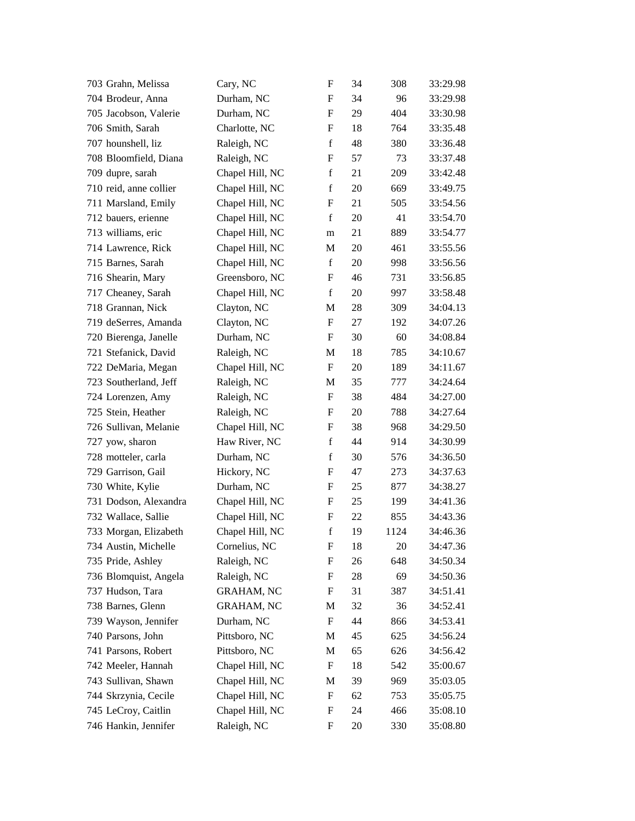| 703 Grahn, Melissa     | Cary, NC          | $\mathbf{F}$              | 34 | 308  | 33:29.98 |
|------------------------|-------------------|---------------------------|----|------|----------|
| 704 Brodeur, Anna      | Durham, NC        | $\mathbf F$               | 34 | 96   | 33:29.98 |
| 705 Jacobson, Valerie  | Durham, NC        | $\mathbf{F}$              | 29 | 404  | 33:30.98 |
| 706 Smith, Sarah       | Charlotte, NC     | F                         | 18 | 764  | 33:35.48 |
| 707 hounshell, liz     | Raleigh, NC       | $\mathbf f$               | 48 | 380  | 33:36.48 |
| 708 Bloomfield, Diana  | Raleigh, NC       | $\boldsymbol{F}$          | 57 | 73   | 33:37.48 |
| 709 dupre, sarah       | Chapel Hill, NC   | $\mathbf f$               | 21 | 209  | 33:42.48 |
| 710 reid, anne collier | Chapel Hill, NC   | $\mathbf f$               | 20 | 669  | 33:49.75 |
| 711 Marsland, Emily    | Chapel Hill, NC   | F                         | 21 | 505  | 33:54.56 |
| 712 bauers, erienne    | Chapel Hill, NC   | $\mathbf f$               | 20 | 41   | 33:54.70 |
| 713 williams, eric     | Chapel Hill, NC   | m                         | 21 | 889  | 33:54.77 |
| 714 Lawrence, Rick     | Chapel Hill, NC   | M                         | 20 | 461  | 33:55.56 |
| 715 Barnes, Sarah      | Chapel Hill, NC   | $\mathbf f$               | 20 | 998  | 33:56.56 |
| 716 Shearin, Mary      | Greensboro, NC    | F                         | 46 | 731  | 33:56.85 |
| 717 Cheaney, Sarah     | Chapel Hill, NC   | $\mathbf f$               | 20 | 997  | 33:58.48 |
| 718 Grannan, Nick      | Clayton, NC       | M                         | 28 | 309  | 34:04.13 |
| 719 deSerres, Amanda   | Clayton, NC       | F                         | 27 | 192  | 34:07.26 |
| 720 Bierenga, Janelle  | Durham, NC        | F                         | 30 | 60   | 34:08.84 |
| 721 Stefanick, David   | Raleigh, NC       | M                         | 18 | 785  | 34:10.67 |
| 722 DeMaria, Megan     | Chapel Hill, NC   | F                         | 20 | 189  | 34:11.67 |
| 723 Southerland, Jeff  | Raleigh, NC       | M                         | 35 | 777  | 34:24.64 |
| 724 Lorenzen, Amy      | Raleigh, NC       | F                         | 38 | 484  | 34:27.00 |
| 725 Stein, Heather     | Raleigh, NC       | F                         | 20 | 788  | 34:27.64 |
| 726 Sullivan, Melanie  | Chapel Hill, NC   | F                         | 38 | 968  | 34:29.50 |
| 727 yow, sharon        | Haw River, NC     | $\mathbf f$               | 44 | 914  | 34:30.99 |
| 728 motteler, carla    | Durham, NC        | $\mathbf f$               | 30 | 576  | 34:36.50 |
| 729 Garrison, Gail     | Hickory, NC       | F                         | 47 | 273  | 34:37.63 |
| 730 White, Kylie       | Durham, NC        | F                         | 25 | 877  | 34:38.27 |
| 731 Dodson, Alexandra  | Chapel Hill, NC   | F                         | 25 | 199  | 34:41.36 |
| 732 Wallace, Sallie    | Chapel Hill, NC   | $\boldsymbol{F}$          | 22 | 855  | 34:43.36 |
| 733 Morgan, Elizabeth  | Chapel Hill, NC   | $\mathbf f$               | 19 | 1124 | 34:46.36 |
| 734 Austin, Michelle   | Cornelius, NC     | F                         | 18 | 20   | 34:47.36 |
| 735 Pride, Ashley      | Raleigh, NC       | F                         | 26 | 648  | 34:50.34 |
| 736 Blomquist, Angela  | Raleigh, NC       | F                         | 28 | 69   | 34:50.36 |
| 737 Hudson, Tara       | <b>GRAHAM, NC</b> | F                         | 31 | 387  | 34:51.41 |
| 738 Barnes, Glenn      | <b>GRAHAM, NC</b> | M                         | 32 | 36   | 34:52.41 |
| 739 Wayson, Jennifer   | Durham, NC        | F                         | 44 | 866  | 34:53.41 |
| 740 Parsons, John      | Pittsboro, NC     | M                         | 45 | 625  | 34:56.24 |
| 741 Parsons, Robert    | Pittsboro, NC     | M                         | 65 | 626  | 34:56.42 |
| 742 Meeler, Hannah     | Chapel Hill, NC   | $\boldsymbol{\mathrm{F}}$ | 18 | 542  | 35:00.67 |
| 743 Sullivan, Shawn    | Chapel Hill, NC   | M                         | 39 | 969  | 35:03.05 |
| 744 Skrzynia, Cecile   | Chapel Hill, NC   | $\boldsymbol{F}$          | 62 | 753  | 35:05.75 |
| 745 LeCroy, Caitlin    | Chapel Hill, NC   | F                         | 24 | 466  | 35:08.10 |
| 746 Hankin, Jennifer   | Raleigh, NC       | F                         | 20 | 330  | 35:08.80 |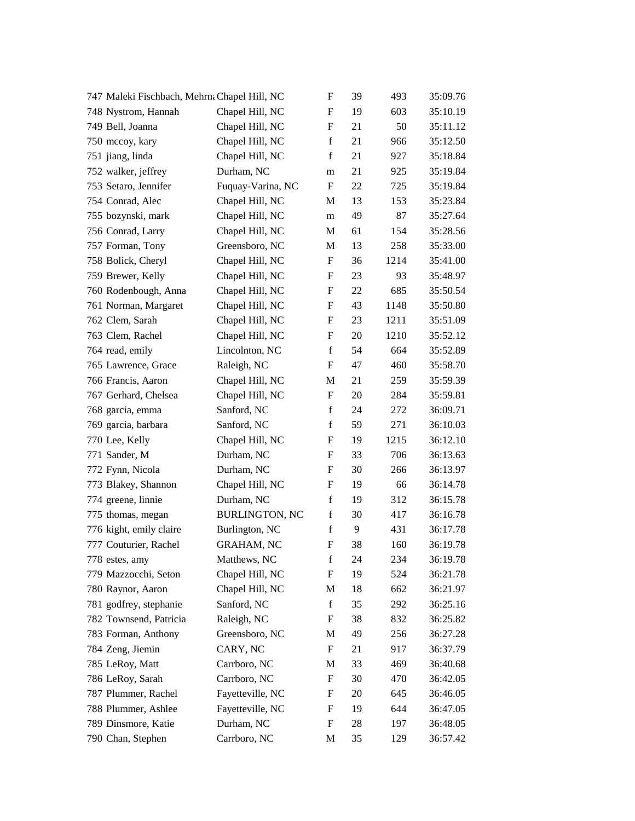| 747 Maleki Fischbach, Mehrna Chapel Hill, NC |                       | F                         | 39 | 493  | 35:09.76 |
|----------------------------------------------|-----------------------|---------------------------|----|------|----------|
| 748 Nystrom, Hannah                          | Chapel Hill, NC       | ${\bf F}$                 | 19 | 603  | 35:10.19 |
| 749 Bell, Joanna                             | Chapel Hill, NC       | ${\bf F}$                 | 21 | 50   | 35:11.12 |
| 750 mccoy, kary                              | Chapel Hill, NC       | $\mathbf f$               | 21 | 966  | 35:12.50 |
| 751 jiang, linda                             | Chapel Hill, NC       | $\mathbf f$               | 21 | 927  | 35:18.84 |
| 752 walker, jeffrey                          | Durham, NC            | m                         | 21 | 925  | 35:19.84 |
| 753 Setaro, Jennifer                         | Fuquay-Varina, NC     | F                         | 22 | 725  | 35:19.84 |
| 754 Conrad, Alec                             | Chapel Hill, NC       | M                         | 13 | 153  | 35:23.84 |
| 755 bozynski, mark                           | Chapel Hill, NC       | m                         | 49 | 87   | 35:27.64 |
| 756 Conrad, Larry                            | Chapel Hill, NC       | M                         | 61 | 154  | 35:28.56 |
| 757 Forman, Tony                             | Greensboro, NC        | М                         | 13 | 258  | 35:33.00 |
| 758 Bolick, Cheryl                           | Chapel Hill, NC       | F                         | 36 | 1214 | 35:41.00 |
| 759 Brewer, Kelly                            | Chapel Hill, NC       | ${\bf F}$                 | 23 | 93   | 35:48.97 |
| 760 Rodenbough, Anna                         | Chapel Hill, NC       | F                         | 22 | 685  | 35:50.54 |
| 761 Norman, Margaret                         | Chapel Hill, NC       | ${\bf F}$                 | 43 | 1148 | 35:50.80 |
| 762 Clem, Sarah                              | Chapel Hill, NC       | F                         | 23 | 1211 | 35:51.09 |
| 763 Clem, Rachel                             | Chapel Hill, NC       | F                         | 20 | 1210 | 35:52.12 |
| 764 read, emily                              | Lincolnton, NC        | $\mathbf f$               | 54 | 664  | 35:52.89 |
| 765 Lawrence, Grace                          | Raleigh, NC           | F                         | 47 | 460  | 35:58.70 |
| 766 Francis, Aaron                           | Chapel Hill, NC       | $\mathbf{M}$              | 21 | 259  | 35:59.39 |
| 767 Gerhard, Chelsea                         | Chapel Hill, NC       | F                         | 20 | 284  | 35:59.81 |
| 768 garcia, emma                             | Sanford, NC           | f                         | 24 | 272  | 36:09.71 |
| 769 garcia, barbara                          | Sanford, NC           | $\mathbf f$               | 59 | 271  | 36:10.03 |
| 770 Lee, Kelly                               | Chapel Hill, NC       | F                         | 19 | 1215 | 36:12.10 |
| 771 Sander, M                                | Durham, NC            | $\boldsymbol{\mathrm{F}}$ | 33 | 706  | 36:13.63 |
| 772 Fynn, Nicola                             | Durham, NC            | F                         | 30 | 266  | 36:13.97 |
| 773 Blakey, Shannon                          | Chapel Hill, NC       | F                         | 19 | 66   | 36:14.78 |
| 774 greene, linnie                           | Durham, NC            | $\mathbf f$               | 19 | 312  | 36:15.78 |
| 775 thomas, megan                            | <b>BURLINGTON, NC</b> | $\mathbf f$               | 30 | 417  | 36:16.78 |
| 776 kight, emily claire                      | Burlington, NC        | $\mathbf f$               | 9  | 431  | 36:17.78 |
| 777 Couturier, Rachel                        | <b>GRAHAM, NC</b>     | F                         | 38 | 160  | 36:19.78 |
| 778 estes, amy                               | Matthews, NC          | $\mathbf f$               | 24 | 234  | 36:19.78 |
| 779 Mazzocchi, Seton                         | Chapel Hill, NC       | F                         | 19 | 524  | 36:21.78 |
| 780 Raynor, Aaron                            | Chapel Hill, NC       | M                         | 18 | 662  | 36:21.97 |
| 781 godfrey, stephanie                       | Sanford, NC           | $\mathbf f$               | 35 | 292  | 36:25.16 |
| 782 Townsend, Patricia                       | Raleigh, NC           | F                         | 38 | 832  | 36:25.82 |
| 783 Forman, Anthony                          | Greensboro, NC        | M                         | 49 | 256  | 36:27.28 |
| 784 Zeng, Jiemin                             | CARY, NC              | F                         | 21 | 917  | 36:37.79 |
| 785 LeRoy, Matt                              | Carrboro, NC          | M                         | 33 | 469  | 36:40.68 |
| 786 LeRoy, Sarah                             | Carrboro, NC          | F                         | 30 | 470  | 36:42.05 |
| 787 Plummer, Rachel                          | Fayetteville, NC      | F                         | 20 | 645  | 36:46.05 |
| 788 Plummer, Ashlee                          | Fayetteville, NC      | F                         | 19 | 644  | 36:47.05 |
| 789 Dinsmore, Katie                          | Durham, NC            | F                         | 28 | 197  | 36:48.05 |
| 790 Chan, Stephen                            | Carrboro, NC          | M                         | 35 | 129  | 36:57.42 |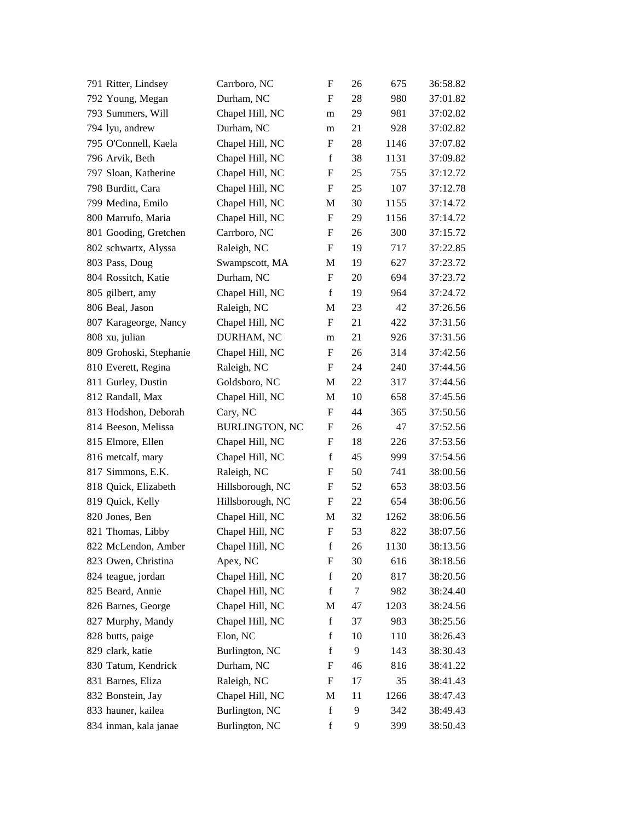| 791 Ritter, Lindsey     | Carrboro, NC          | F           | 26 | 675  | 36:58.82 |
|-------------------------|-----------------------|-------------|----|------|----------|
| 792 Young, Megan        | Durham, NC            | F           | 28 | 980  | 37:01.82 |
| 793 Summers, Will       | Chapel Hill, NC       | m           | 29 | 981  | 37:02.82 |
| 794 lyu, andrew         | Durham, NC            | m           | 21 | 928  | 37:02.82 |
| 795 O'Connell, Kaela    | Chapel Hill, NC       | F           | 28 | 1146 | 37:07.82 |
| 796 Arvik, Beth         | Chapel Hill, NC       | $\mathbf f$ | 38 | 1131 | 37:09.82 |
| 797 Sloan, Katherine    | Chapel Hill, NC       | F           | 25 | 755  | 37:12.72 |
| 798 Burditt, Cara       | Chapel Hill, NC       | F           | 25 | 107  | 37:12.78 |
| 799 Medina, Emilo       | Chapel Hill, NC       | М           | 30 | 1155 | 37:14.72 |
| 800 Marrufo, Maria      | Chapel Hill, NC       | F           | 29 | 1156 | 37:14.72 |
| 801 Gooding, Gretchen   | Carrboro, NC          | F           | 26 | 300  | 37:15.72 |
| 802 schwartx, Alyssa    | Raleigh, NC           | F           | 19 | 717  | 37:22.85 |
| 803 Pass, Doug          | Swampscott, MA        | M           | 19 | 627  | 37:23.72 |
| 804 Rossitch, Katie     | Durham, NC            | F           | 20 | 694  | 37:23.72 |
| 805 gilbert, amy        | Chapel Hill, NC       | $\mathbf f$ | 19 | 964  | 37:24.72 |
| 806 Beal, Jason         | Raleigh, NC           | M           | 23 | 42   | 37:26.56 |
| 807 Karageorge, Nancy   | Chapel Hill, NC       | F           | 21 | 422  | 37:31.56 |
| 808 xu, julian          | DURHAM, NC            | m           | 21 | 926  | 37:31.56 |
| 809 Grohoski, Stephanie | Chapel Hill, NC       | F           | 26 | 314  | 37:42.56 |
| 810 Everett, Regina     | Raleigh, NC           | F           | 24 | 240  | 37:44.56 |
| 811 Gurley, Dustin      | Goldsboro, NC         | M           | 22 | 317  | 37:44.56 |
| 812 Randall, Max        | Chapel Hill, NC       | М           | 10 | 658  | 37:45.56 |
| 813 Hodshon, Deborah    | Cary, NC              | $\mathbf F$ | 44 | 365  | 37:50.56 |
| 814 Beeson, Melissa     | <b>BURLINGTON, NC</b> | F           | 26 | 47   | 37:52.56 |
| 815 Elmore, Ellen       | Chapel Hill, NC       | F           | 18 | 226  | 37:53.56 |
| 816 metcalf, mary       | Chapel Hill, NC       | $\mathbf f$ | 45 | 999  | 37:54.56 |
| 817 Simmons, E.K.       | Raleigh, NC           | F           | 50 | 741  | 38:00.56 |
| 818 Quick, Elizabeth    | Hillsborough, NC      | F           | 52 | 653  | 38:03.56 |
| 819 Quick, Kelly        | Hillsborough, NC      | F           | 22 | 654  | 38:06.56 |
| 820 Jones, Ben          | Chapel Hill, NC       | M           | 32 | 1262 | 38:06.56 |
| 821 Thomas, Libby       | Chapel Hill, NC       | F           | 53 | 822  | 38:07.56 |
| 822 McLendon, Amber     | Chapel Hill, NC       | f           | 26 | 1130 | 38:13.56 |
| 823 Owen, Christina     | Apex, NC              | F           | 30 | 616  | 38:18.56 |
| 824 teague, jordan      | Chapel Hill, NC       | $\mathbf f$ | 20 | 817  | 38:20.56 |
| 825 Beard, Annie        | Chapel Hill, NC       | f           | 7  | 982  | 38:24.40 |
| 826 Barnes, George      | Chapel Hill, NC       | M           | 47 | 1203 | 38:24.56 |
| 827 Murphy, Mandy       | Chapel Hill, NC       | $\mathbf f$ | 37 | 983  | 38:25.56 |
| 828 butts, paige        | Elon, NC              | $\mathbf f$ | 10 | 110  | 38:26.43 |
| 829 clark, katie        | Burlington, NC        | $\mathbf f$ | 9  | 143  | 38:30.43 |
| 830 Tatum, Kendrick     | Durham, NC            | F           | 46 | 816  | 38:41.22 |
| 831 Barnes, Eliza       | Raleigh, NC           | F           | 17 | 35   | 38:41.43 |
| 832 Bonstein, Jay       | Chapel Hill, NC       | M           | 11 | 1266 | 38:47.43 |
| 833 hauner, kailea      | Burlington, NC        | $\mathbf f$ | 9  | 342  | 38:49.43 |
| 834 inman, kala janae   | Burlington, NC        | $\mathbf f$ | 9  | 399  | 38:50.43 |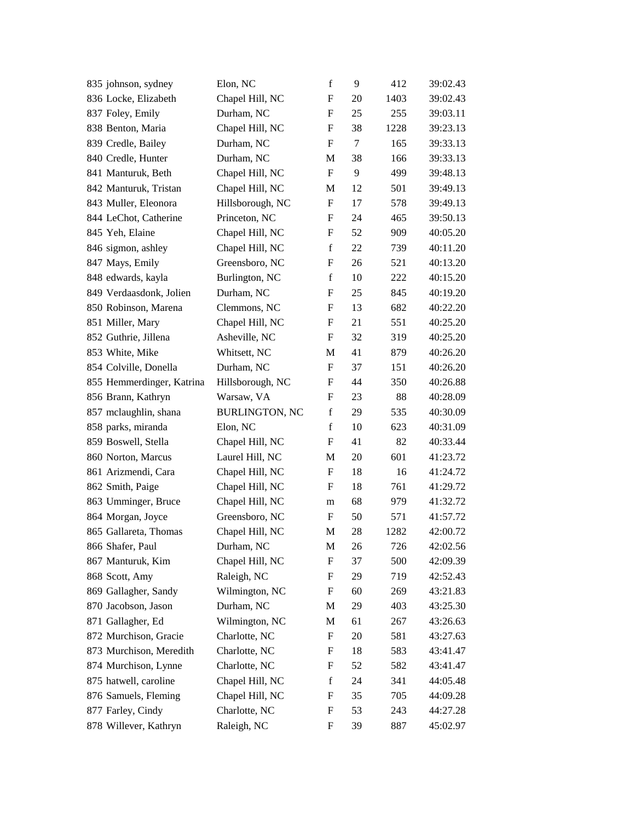| 835 johnson, sydney       | Elon, NC              | $\mathbf f$               | 9  | 412  | 39:02.43 |
|---------------------------|-----------------------|---------------------------|----|------|----------|
| 836 Locke, Elizabeth      | Chapel Hill, NC       | $\boldsymbol{F}$          | 20 | 1403 | 39:02.43 |
| 837 Foley, Emily          | Durham, NC            | $\boldsymbol{F}$          | 25 | 255  | 39:03.11 |
| 838 Benton, Maria         | Chapel Hill, NC       | F                         | 38 | 1228 | 39:23.13 |
| 839 Credle, Bailey        | Durham, NC            | $\boldsymbol{\mathrm{F}}$ | 7  | 165  | 39:33.13 |
| 840 Credle, Hunter        | Durham, NC            | M                         | 38 | 166  | 39:33.13 |
| 841 Manturuk, Beth        | Chapel Hill, NC       | $\mathbf F$               | 9  | 499  | 39:48.13 |
| 842 Manturuk, Tristan     | Chapel Hill, NC       | M                         | 12 | 501  | 39:49.13 |
| 843 Muller, Eleonora      | Hillsborough, NC      | F                         | 17 | 578  | 39:49.13 |
| 844 LeChot, Catherine     | Princeton, NC         | F                         | 24 | 465  | 39:50.13 |
| 845 Yeh, Elaine           | Chapel Hill, NC       | $\boldsymbol{\mathrm{F}}$ | 52 | 909  | 40:05.20 |
| 846 sigmon, ashley        | Chapel Hill, NC       | $\mathbf f$               | 22 | 739  | 40:11.20 |
| 847 Mays, Emily           | Greensboro, NC        | $\boldsymbol{\mathrm{F}}$ | 26 | 521  | 40:13.20 |
| 848 edwards, kayla        | Burlington, NC        | $\mathbf f$               | 10 | 222  | 40:15.20 |
| 849 Verdaasdonk, Jolien   | Durham, NC            | $\boldsymbol{\mathrm{F}}$ | 25 | 845  | 40:19.20 |
| 850 Robinson, Marena      | Clemmons, NC          | $\boldsymbol{\mathrm{F}}$ | 13 | 682  | 40:22.20 |
| 851 Miller, Mary          | Chapel Hill, NC       | F                         | 21 | 551  | 40:25.20 |
| 852 Guthrie, Jillena      | Asheville, NC         | $\boldsymbol{F}$          | 32 | 319  | 40:25.20 |
| 853 White, Mike           | Whitsett, NC          | M                         | 41 | 879  | 40:26.20 |
| 854 Colville, Donella     | Durham, NC            | $\boldsymbol{\mathrm{F}}$ | 37 | 151  | 40:26.20 |
| 855 Hemmerdinger, Katrina | Hillsborough, NC      | $\boldsymbol{\mathrm{F}}$ | 44 | 350  | 40:26.88 |
| 856 Brann, Kathryn        | Warsaw, VA            | F                         | 23 | 88   | 40:28.09 |
| 857 mclaughlin, shana     | <b>BURLINGTON, NC</b> | $\mathbf f$               | 29 | 535  | 40:30.09 |
| 858 parks, miranda        | Elon, NC              | $\mathbf f$               | 10 | 623  | 40:31.09 |
| 859 Boswell, Stella       | Chapel Hill, NC       | F                         | 41 | 82   | 40:33.44 |
| 860 Norton, Marcus        | Laurel Hill, NC       | M                         | 20 | 601  | 41:23.72 |
| 861 Arizmendi, Cara       | Chapel Hill, NC       | F                         | 18 | 16   | 41:24.72 |
| 862 Smith, Paige          | Chapel Hill, NC       | $\boldsymbol{\mathrm{F}}$ | 18 | 761  | 41:29.72 |
| 863 Umminger, Bruce       | Chapel Hill, NC       | m                         | 68 | 979  | 41:32.72 |
| 864 Morgan, Joyce         | Greensboro, NC        | F                         | 50 | 571  | 41:57.72 |
| 865 Gallareta, Thomas     | Chapel Hill, NC       | M                         | 28 | 1282 | 42:00.72 |
| 866 Shafer, Paul          | Durham, NC            | М                         | 26 | 726  | 42:02.56 |
| 867 Manturuk, Kim         | Chapel Hill, NC       | F                         | 37 | 500  | 42:09.39 |
| 868 Scott, Amy            | Raleigh, NC           | F                         | 29 | 719  | 42:52.43 |
| 869 Gallagher, Sandy      | Wilmington, NC        | F                         | 60 | 269  | 43:21.83 |
| 870 Jacobson, Jason       | Durham, NC            | M                         | 29 | 403  | 43:25.30 |
| 871 Gallagher, Ed         | Wilmington, NC        | M                         | 61 | 267  | 43:26.63 |
| 872 Murchison, Gracie     | Charlotte, NC         | $\boldsymbol{\mathrm{F}}$ | 20 | 581  | 43:27.63 |
| 873 Murchison, Meredith   | Charlotte, NC         | F                         | 18 | 583  | 43:41.47 |
| 874 Murchison, Lynne      | Charlotte, NC         | F                         | 52 | 582  | 43:41.47 |
| 875 hatwell, caroline     | Chapel Hill, NC       | $\mathbf f$               | 24 | 341  | 44:05.48 |
| 876 Samuels, Fleming      | Chapel Hill, NC       | F                         | 35 | 705  | 44:09.28 |
| 877 Farley, Cindy         | Charlotte, NC         | F                         | 53 | 243  | 44:27.28 |
| 878 Willever, Kathryn     | Raleigh, NC           | F                         | 39 | 887  | 45:02.97 |